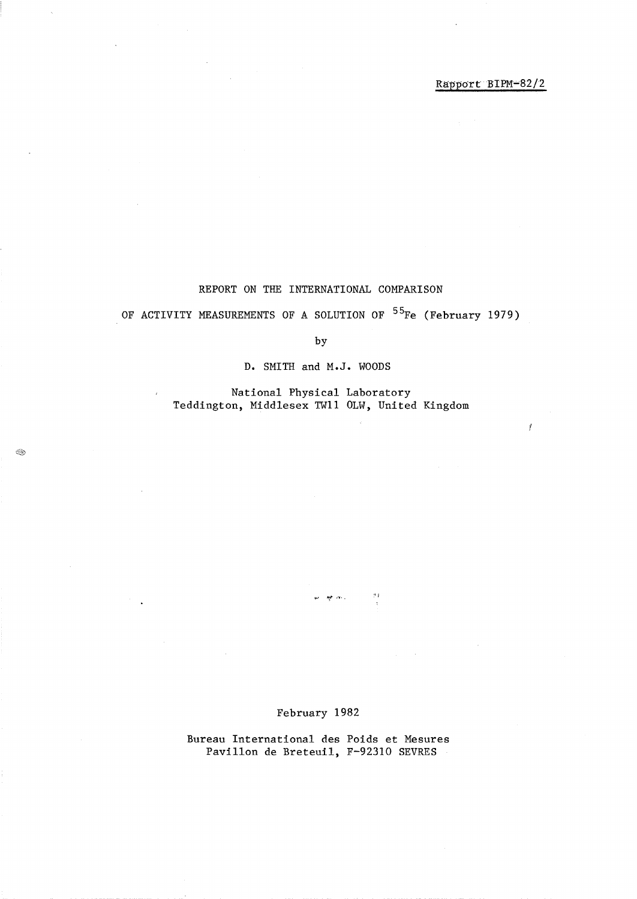Ĭ

## REPORT ON THE INTERNATIONAL COMPARISON

# OF ACTIVITY MEASUREMENTS OF A SOLUTION OF <sup>55</sup>Fe (February 1979)

by

D. SMITH and M.J. WOODS

National Physical Laboratory Teddington, Middlesex TWll OLW, United Kingdom

B.

## February 1982

 $\vec{p}$   $\vec{q}$ 

 $\mathbf{a}_i \mathbf{r}_i$  ,  $\mathbf{a}_i$  ,

Bureau International des Poids et Mesures PavilIon de Breteuil, F-92310 SEVRES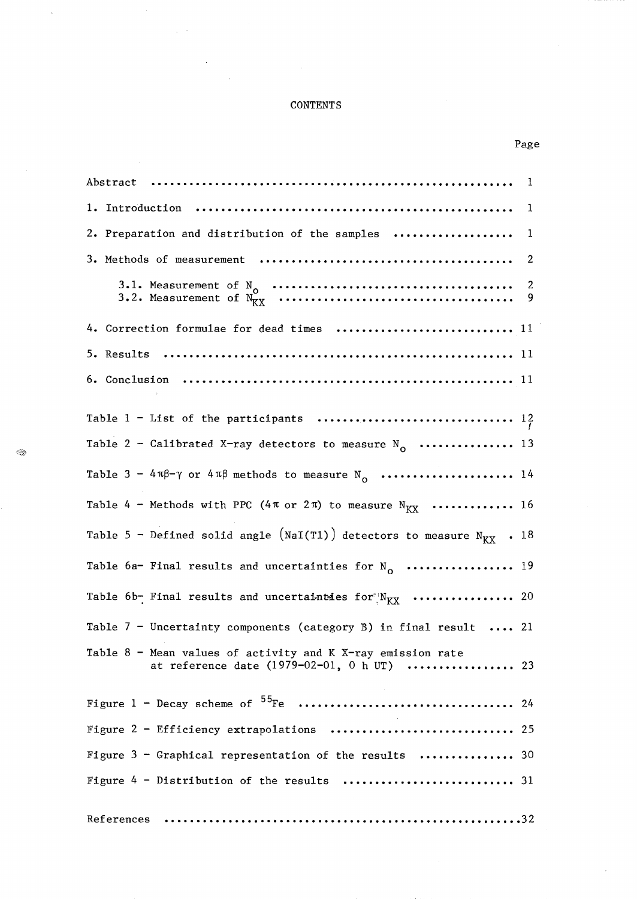## **CONTENTS**

| 2. Preparation and distribution of the samples  1                                                           |
|-------------------------------------------------------------------------------------------------------------|
|                                                                                                             |
|                                                                                                             |
| 4. Correction formulae for dead times  11                                                                   |
|                                                                                                             |
|                                                                                                             |
|                                                                                                             |
| Table 2 - Calibrated X-ray detectors to measure $N_0$ 13                                                    |
| Table $3 - 4\pi\beta - \gamma$ or $4\pi\beta$ methods to measure N <sub>o</sub> 14                          |
| Table 4 - Methods with PPC (4 $\pi$ or 2 $\pi$ ) to measure N <sub>KX</sub> 16                              |
| Table 5 - Defined solid angle (NaI(T1)) detectors to measure $N_{\text{K}X}$ . 18                           |
| Table 6a- Final results and uncertainties for $N_0$ 19                                                      |
| Table 6b- Final results and uncertainties for $N_{\text{K}X}$ 20                                            |
| Table 7 - Uncertainty components (category B) in final result  21                                           |
| Table $8$ - Mean values of activity and K X-ray emission rate<br>at reference date (1979-02-01, 0 h UT)  23 |
|                                                                                                             |
| Figure 2 - Efficiency extrapolations<br>25                                                                  |
| Figure $3$ - Graphical representation of the results  30                                                    |
|                                                                                                             |
| References                                                                                                  |

 $\bar{\lambda}$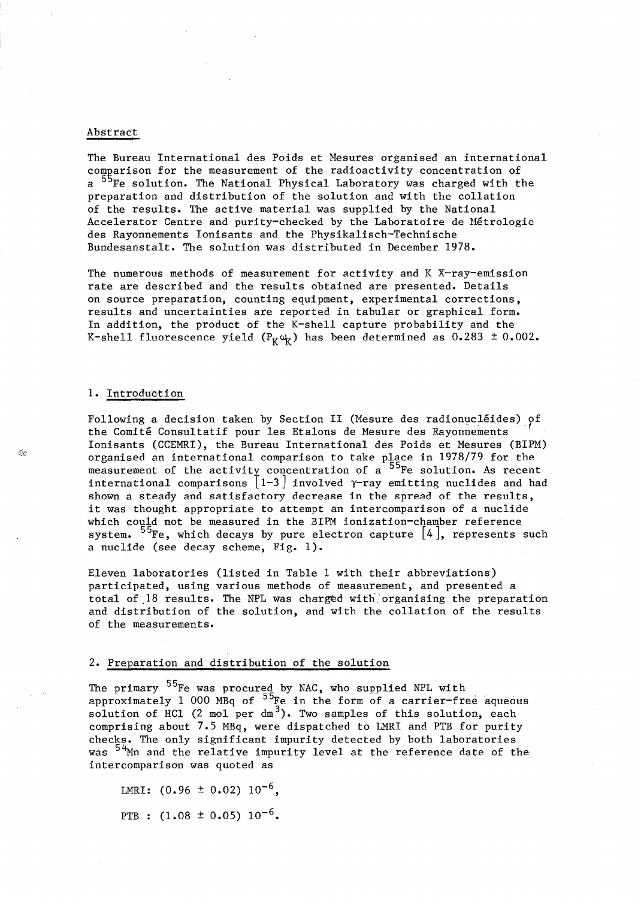#### Abstract

The Bureau International des Poids et Mesures organised an international comparison for the measurement of the radioactivity concentration of a <sup>55</sup>Fe solution. The National Physical Laboratory was charged with the preparation and distribution of the solution and with the collation of the results. The active material was supplied by the National Accelerator Centre and purity-checked by the Laboratoire de Metrologie des Rayonnements Ionisants and the Physikalisch-Technische Bundesanstalt. The solution was distributed in December 1978.

The numerous methods of measurement for activity and K X-ray-emission rate are described and the results obtained are presented. Details on source preparation, counting equipment, experimental corrections, results and uncertainties are reported in tabular or graphical form. In addition, the product of the K-shell capture probability and the K-shell fluorescence yield ( $P_K\omega_K$ ) has been determined as 0.283 ± 0.002.

#### 1. Introduction

Following a decision taken by Section II (Mesure des radionucléides) of the Comité Consultatif pour les Etalons de Mesure des Rayonnements Ionisants (CCEMRI), the Bureau International des Poids et Mesures (BIPM) organised an international comparison to take place in 1978/79 for the measurement of the activity concentration of  $a^{55}$ Fe solution. As recent international comparisons  $\lfloor 1-3 \rfloor$  involved  $\gamma$ -ray emitting nuclides and had shown a steady and satisfactory decrease in the spread of the results, it was thought appropriate to attempt an intercomparison of a nuclide which could not be measured in the BIPM ionization-chamber reference system.  $^{55}$ Fe, which decays by pure electron capture  $\left[\mathtt{4}\right]$ , represents such a nuclide (see decay scheme, Fig. 1).

Eleven laboratories (listed in Table 1 with their abbreviations) participated, using various methods of measurement, and presented a total of 18 results. The NPL was charged with organising the preparation and distribution of the solution, and with the collation of the results of the measurements.

#### 2. Preparation and distribution of the solution

The primary <sup>55</sup>Fe was procured by NAC, who supplied NPL with approximately 1 000 MBq of  $^{55}$ Fe in the form of a carrier-free aqueous solution of HCl (2 mol per  $dm^3$ ). Two samples of this solution, each comprising about 7.5 MBq, were dispatched to LMRI and PTB for purity checks. The only significant impurity detected by both laboratories was <sup>54</sup>Mn and the relative impurity level at the reference date of the intercomparison was quoted as

LMRI:  $(0.96 \pm 0.02) 10^{-6}$ . PTB :  $(1.08 \pm 0.05) 10^{-6}$ .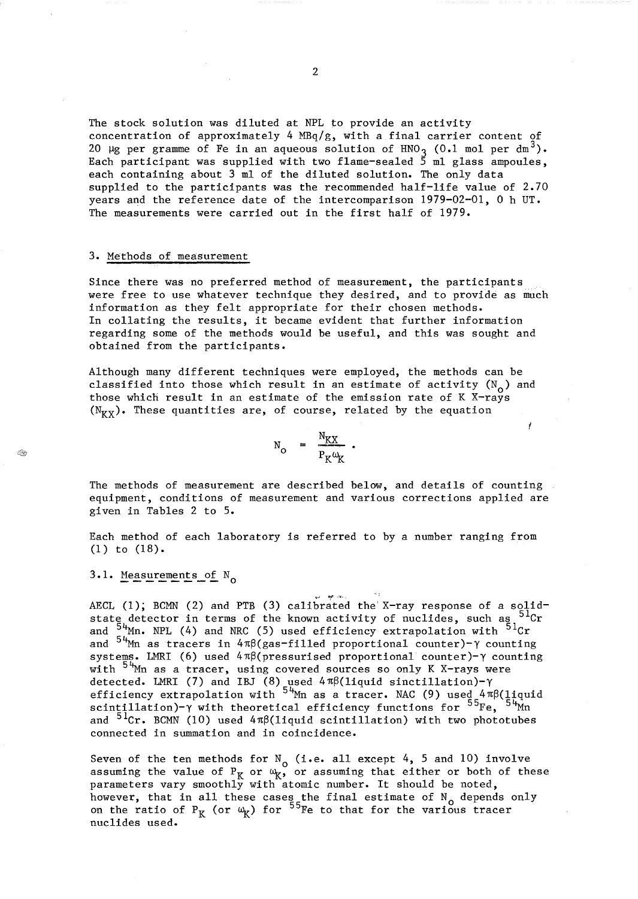The stock solution was diluted at NPL to provide an activity concentration of approximately 4  $MBq/g$ , with a final carrier content of 20  $\mu$ g per gramme of Fe in an aqueous solution of HNO 3 (0.1 mol per dm<sup>3</sup>). Each participant was supplied with two flame-sealed  $\frac{1}{5}$  ml glass ampoules, each containing about 3 ml of the diluted solution. The only data supplied to the participants was the recommended half-life value of 2.70 years and the reference date of the intercomparison  $1979-02-01$ , 0 h UT. The measurements were carried out in the first half of 1979.

#### 3. Methods of measurement

Since there was no preferred method of measurement, the participants were free to use whatever technique they desired, and to provide as much information as they felt appropriate for their chosen methods. In collating the results, it became evident that further information regarding some of the methods would be useful, and this was sought and obtained from the participants.

Although many different techniques were employed, the methods can be classified into those which result in an estimate of activity  $(N_0)$  and those which result in an estimate of the emission rate of K X-rays  $(N_{\text{KY}})$ . These quantities are, of course, related by the equation

 $N_{\rm O} = \frac{N_{\rm KX}}{P_{\rm K}\omega_{\rm K}}$ .

ł

The methods of measurement are described below, and details of counting equipment, conditions of measurement and various corrections applied are given in Tables 2 to 5.

Each method of each laboratory is referred to by a number ranging from (1) to (18).

3.1. Measurements of  $N_{\Omega}$ 

~.J ~ '-"', AECL (1); BCMN (2) and PTB (3) calibrated the X-ray response of a solidstate detector in terms of the known activity of nuclides, such as  $5^{1}$ Cr and  $54$ <sup>M</sup>m. NPL (4) and NRC (5) used efficiency extrapolation with  $51$ Cr and  $54$ <sup>M</sup>m as tracers in  $4\pi\beta$ (gas-filled proportional counter)- $\gamma$  counting systems. LMRI (6) used  $4\pi\beta$ (pressurised proportional counter)- $\gamma$  counting with  $54$ <sup>t</sup>Mn as a tracer, using covered sources so only K X-rays were detected. LMRI (7) and IBJ (8) used  $4\pi\beta(1$ iquid sinctillation)- $\gamma$ efficiency extrapolation with  $^{54}$ Mn as a tracer. NAC (9) used 4 $\pi\beta$ (liquid scintillation)- $\gamma$  with theoretical efficiency functions for  $^{55}$ Fe,  $^{54}$ Mn and  $5^{1}$ Cr. BCMN (10) used  $4\pi\beta$ (liquid scintillation) with two phototubes connected in summation and in coincidence.

 $\mathcal{A}_{\rm eff}$ 

Seven of the ten methods for  $N_{o}$  (i.e. all except 4, 5 and 10) involve assuming the value of  $P_K$  or  $\omega_K$ , or assuming that either or both of these parameters vary smoothly with atomic number. It should be noted, however, that in all these cases the final estimate of  $N_0$  depends only on the ratio of  $P_K$  (or  $\omega_K$ ) for  $^{55}$ Fe to that for the various tracer nuclides used.

2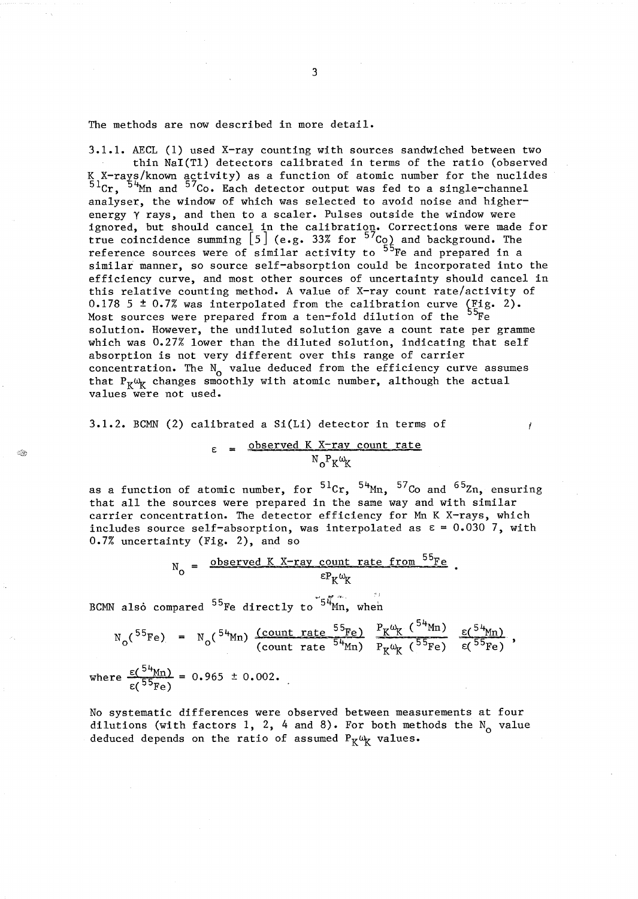The methods are now described in more detail.

3.1.1. AECL (1) used X-ray counting with sources sandwiched between two thin NaI(TI) detectors calibrated in terms of the ratio (observed K X-rays/known activity) as a function of atomic number for the nuclides  $^{51}$ Cr,  $^{54}$ Mn and  $^{57}$ Co. Each detector output was fed to a single-channel analyser, the window of which was selected to avoid noise and higherenergy y rays, and then to a scaler. Pulses outside the window were ignored, but should cancel in the calibration. Corrections were made for true coincidence summing  $\left[5\right]$  (e.g. 33% for  $^{57}$ Co) and background. The reference sources were of similar activity to <sup>55</sup>Fe and prepared in a similar manner, so source self-absorption could be incorporated into the efficiency curve, and most other sources of uncertainty should cancel in this relative counting method. A value of X-ray count rate/activity of 0.178 5 ± 0.7% was interpolated from the calibration curve  $(^{Fig. 2})$ . Most sources were prepared from a ten-fold dilution of the <sup>55</sup>Fe solution. However, the undiluted solution gave a count rate per gramme which was 0.27% lower than the diluted solution, indicating that self absorption is not very different over this range of carrier concentration. The  $N_{o}$  value deduced from the efficiency curve assumes that  $P_K\omega_K$  changes smoothly with atomic number, although the actual values were not used.

3.1.2. BCMN (2) calibrated a Si(Li) detector in terms of

$$
\varepsilon
$$
 = observed K X-ray count rate  
 $N_0 P_K \omega_K$ 

as a function of atomic number, for  ${}^{51}$ Cr,  ${}^{54}$ Mn,  ${}^{57}$ Co and  ${}^{65}$ Zn, ensuring that all the sources were prepared in the same way and with similar carrier concentration. The detector efficiency for Mn K X-rays, which includes source self-absorption, was interpolated as  $\epsilon = 0.030$  7, with 0.7% uncertainty (Fig. 2), and so

$$
N_0 = \frac{\text{observed K X-ray count rate from }^{55}Fe}{\epsilon P_K \omega_K}.
$$

BCMN also compared <sup>55</sup>Fe directly to <sup>54</sup>Mn, when

$$
N_0(^{55}Fe) = N_0(^{54}Mn) \frac{(count rate ^{55}Fe)}{(count rate ^{54}Mn)} \frac{P_K \omega_K(^{34}Mn)}{P_K \omega_K(^{55}Fe)} \frac{\epsilon(^{54}Mn)}{\epsilon(^{55}Fe)},
$$

where  $\frac{\varepsilon (54_{\text{Mn}})}{\varepsilon (55_{\text{Fe}})} = 0.965 \pm 0.002.$ 

 $\mathbb{R}^2$ 

No systematic differences were observed between measurements at four dilutions (with factors 1, 2, 4 and 8). For both methods the  $N_0$  value deduced depends on the ratio of assumed  $P_K\omega_K$  values.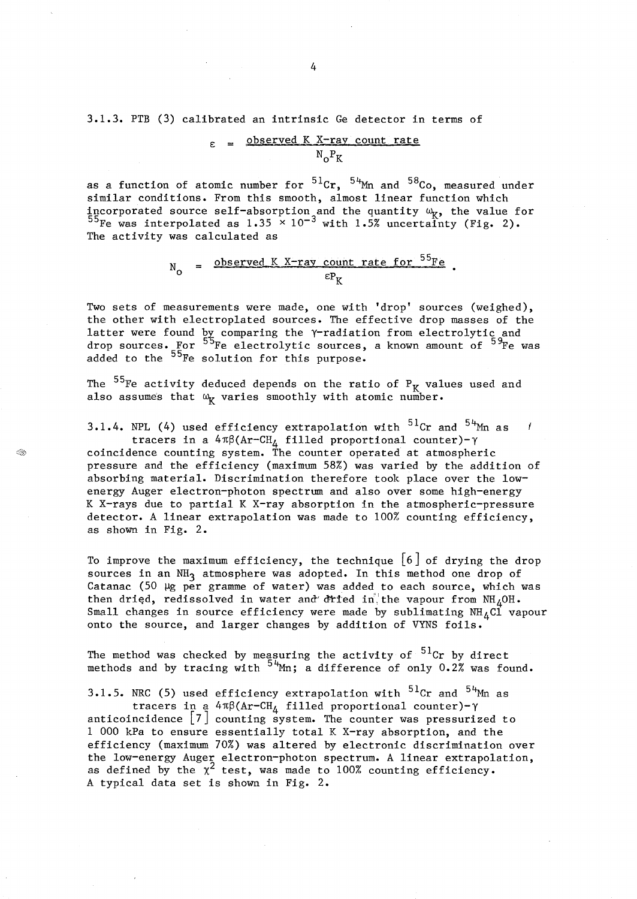3.1.3. PTB (3) calibrated an intrinsic Ge detector in terms of

$$
\varepsilon = \frac{\text{observed K X-ray count rate}}{N_0 P_K}
$$

as a function of atomic number for  $^{51}$ Cr,  $^{54}$ Mn and  $^{58}$ Co, measured under similar conditions. From this smooth, almost linear function which incorporated source self-absorption and the quantity  $\omega_{\mathbf{K}}$ , the value for  $^{55}$ Fe was interpolated as 1.35  $\times$  10<sup>-3</sup> with 1.5% uncertainty (Fig. 2). The activity was calculated as

$$
N_0 = \frac{\text{observed K X-ray count rate for }^{55}Fe}{\epsilon P_K}.
$$

Two sets of measurements were made, one with 'drop' sources (weighed), the other with electroplated sources. The effective drop masses of the latter were found  $_{p}^{p}$  comparing the  $\gamma$ -radiation from electrolytic and drop sources. For <sup>55</sup>Fe electrolytic sources, a known amount of <sup>59</sup>Fe was added to the <sup>55</sup>Fe solution for this purpose.

The  $^{55}$ Fe activity deduced depends on the ratio of P<sub>K</sub> values used and also assumes that  $\omega_{\mathbf{K}}$  varies smoothly with atomic number.

Œ

3.1.4. NPL (4) used efficiency extrapolation with  $5^{1}$ Cr and  $5^{4}$ Mn as - 1 tracers in a  $4\pi\beta(\text{Ar}-\text{CH}_4$  filled proportional counter)- $\gamma$ coincidence counting system. The counter operated at atmospheric pressure and the efficiency (maximum 58%) was varied by the addition of absorbing material. Discrimination therefore took place over the lowenergy Auger electron-photon spectrum and also over some high-energy K X-rays due to partial K X-ray absorption in the atmospheric-pressure detector. A linear extrapolation was made to 100% counting efficiency, as shown in Fig. 2.

To improve the maximum efficiency, the technique  $[6]$  of drying the drop sources in an NH<sub>3</sub> atmosphere was adopted. In this method one drop of Catanac (50  $\mu$ g per gramme of water) was added to each source, which was then dried, redissolved in water and dried in the vapour from  $NH_4OH$ . Small changes in source efficiency were made by sublimating  $NH_{4}Cl$  vapour onto the source, and larger changes by addition of VYNS foils.

The method was checked by measuring the activity of  $^{51}$ Cr by direct methods and by tracing with  $^{54}$ Mn; a difference of only 0.2% was found.

3.1.5. NRC (5) used efficiency extrapolation with  $5^{1}$ Cr and  $5^{4}$ Mm as tracers in a  $4\pi\beta$ (Ar-CH<sub>4</sub> filled proportional counter)- $\gamma$ anticoincidence [7] counting system. The counter was pressurized to 1 000 kPa to ensure essentially total K X-ray absorption, and the efficiency (maximum 70%) was altered by electronic discrimination over the low-energy Auger electron-photon spectrum. A linear extrapolation, as defined by the  $\chi^2$  test, was made to 100% counting efficiency. A typical data set is shown in Fig. 2.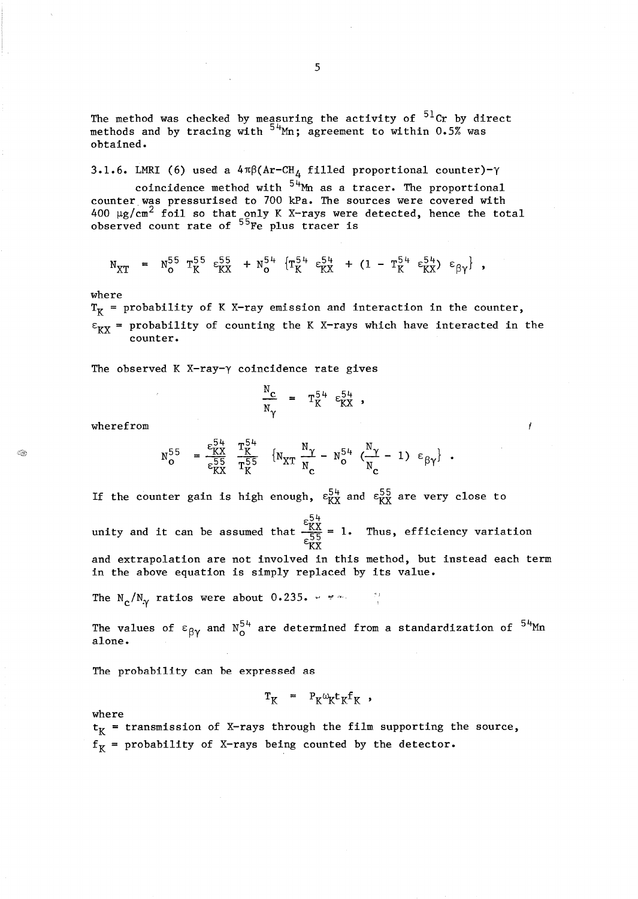The method was checked by measuring the activity of  $^{51}$ Cr by direct methods and by tracing with  $^{54}$ Mn; agreement to within 0.5% was obtained.

3.1.6. LMRI (6) used a  $4\pi\beta (Ar-CH_A$  filled proportional counter)- $\gamma$ 

coincidence method with  $54$ <sup>H</sup>Mm as a tracer. The proportional counter was pressurised to 700 kPa. The sources were covered with 400  $\mu$ g/cm<sup>2</sup> foil so that only K X-rays were detected, hence the total observed count rate of  $55$ Fe plus tracer is

$$
N_{XT} = N_{O}^{55} T_{K}^{55} \epsilon_{KX}^{55} + N_{O}^{54} \{ T_{K}^{54} \epsilon_{KX}^{54} + (1 - T_{K}^{54} \epsilon_{KX}^{54}) \epsilon_{\beta\gamma} \},
$$

where

 $T_K$  = probability of K X-ray emission and interaction in the counter,  $\varepsilon_{\text{K}X}$  = probability of counting the K X-rays which have interacted in the counter.

The observed K X-ray- $\gamma$  coincidence rate gives

$$
\frac{N_C}{N_{\gamma}} = T_K^{54} \varepsilon_{KX}^{54},
$$

wherefrom

**Se** 

$$
N_O^{55} = \frac{\varepsilon_{KX}^{54}}{\varepsilon_{KX}^{55}} \frac{T_K^{54}}{T_K^{55}} \left\{ N_{XT} \frac{N_{\gamma}}{N_{\rm c}} - N_O^{54} \left( \frac{N_{\gamma}}{N_{\rm c}} - 1 \right) \varepsilon_{\beta \gamma} \right\} \ .
$$

If the counter gain is high enough,  $\varepsilon_{\text{K}X}^{54}$  and  $\varepsilon_{\text{K}X}^{55}$  are very close to

unity and it can be assumed that  $\frac{\varepsilon_{\rm XX}^{54}}{\varepsilon_{\rm K}^{5}}$  = 1. Thus, efficiency variation

and extrapolation are not involved in this method, but instead each term in the above equation is simply replaced by its value.

The  $N_c/N_{\gamma}$  ratios were about 0.235.  $\gamma$  "rivers in the  $N_c$ 

The values of  $\varepsilon_{\beta\gamma}$  and  $N_{0}^{54}$  are determined from a standardization of  $^{54}$ Mn alone.

The probability can be expressed as

$$
T_K = P_K \omega_K t_K f_K,
$$

where

 $t_K$  = transmission of X-rays through the film supporting the source,  $f<sub>K</sub>$  = probability of X-rays being counted by the detector.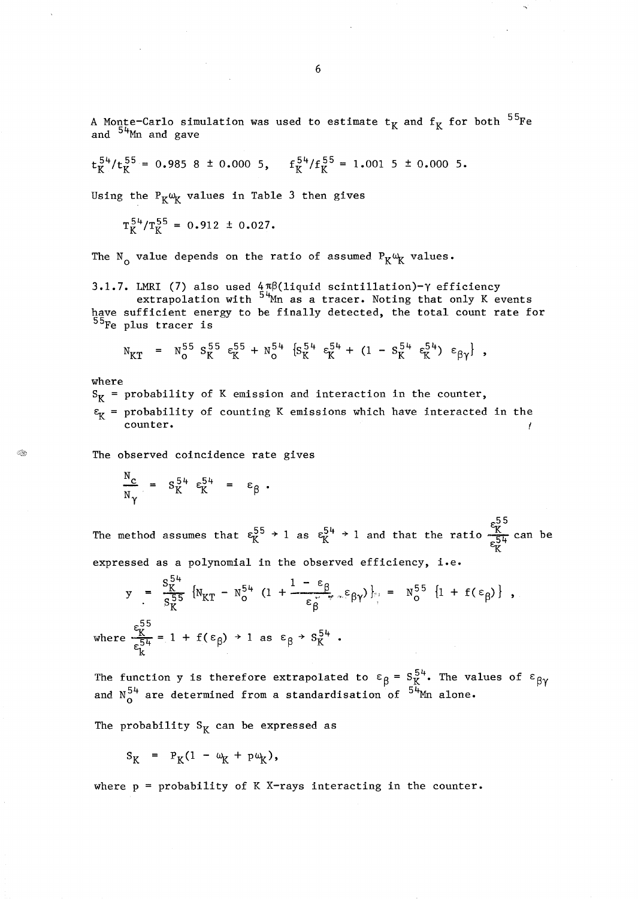A Monte-Carlo simulation was used to estimate  $t_K$  and  $f_K$  for both  $^{55}$ Fe and  $54$ <sup>Mn</sup> and gave

$$
t_K^{54}/t_K^{55} = 0.985 \t8 \t\pm 0.000 \t5
$$
,  $f_K^{54}/f_K^{55} = 1.001 \t5 \t\pm 0.000 \t5$ .

Using the  $P_K\omega_K$  values in Table 3 then gives

 $T_K^{54}/T_K^{55} = 0.912 \pm 0.027.$ 

The N<sub>o</sub> value depends on the ratio of assumed  $P_K\omega_K$  values.

3.1.7. LMRI (7) also used  $4\pi\beta$ (liquid scintillation)- $\gamma$  efficiency

extrapolation with <sup>54</sup>Mn as a tracer. Noting that only K events have sufficient energy to be finally detected, the total count rate for 55Fe plus tracer is

$$
N_{KT}
$$
 =  $N_o^{55} S_K^{55} \epsilon_K^{55} + N_o^{54} \{S_K^{54} \epsilon_K^{54} + (1 - S_K^{54} \epsilon_K^{54}) \epsilon_{\beta \gamma} \},$ 

where

Q.

 $S_K$  = probability of K emission and interaction in the counter,

 $\varepsilon_{\rm r}$  = probability of counting K emissions which have interacted in the counter.

The observed coincidence rate gives

$$
\frac{N_c}{N_V} = S_K^{54} \varepsilon_K^{54} = \varepsilon_\beta.
$$

 $\begin{matrix} 55 \\ \text{rk} \end{matrix}$ The method assumes that  $\epsilon_{\rm K}^{55}$   $\rightarrow$  1 as  $\epsilon_{\rm K}^{54}$   $\rightarrow$  1 and that the ratio  $\frac{\rm K}{\epsilon_{\rm L}}$  can be  $K$ expressed as a polynomial in the observed efficiency, i.e.

$$
y = \frac{S_K^{54}}{S_K^{55}} \left\{ N_{KT} - N_0^{54} \left( 1 + \frac{1 - \epsilon_\beta}{\epsilon_\beta} \epsilon_{\beta \gamma} \right) \right\} = N_0^{55} \left\{ 1 + f(\epsilon_\beta) \right\} ,
$$
  
where  $\frac{\epsilon_K^{55}}{\epsilon_K^{54}} = 1 + f(\epsilon_\beta) \rightarrow 1$  as  $\epsilon_\beta \rightarrow S_K^{54}$ .

The function y is therefore extrapolated to  $\varepsilon_{\sf B}$  =  $\textrm{S}_{\sf K}^{54}$ . The values of  $\varepsilon_{\sf B}\rm_V$ and  $\text{N}_{\alpha}^{54}$  are determined from a standardisation of  $^{54}$ Mn alone.

The probability  $S_K$  can be expressed as

$$
S_K = P_K(1 - \omega_K + p\omega_K),
$$

where  $p = probability$  of K X-rays interacting in the counter.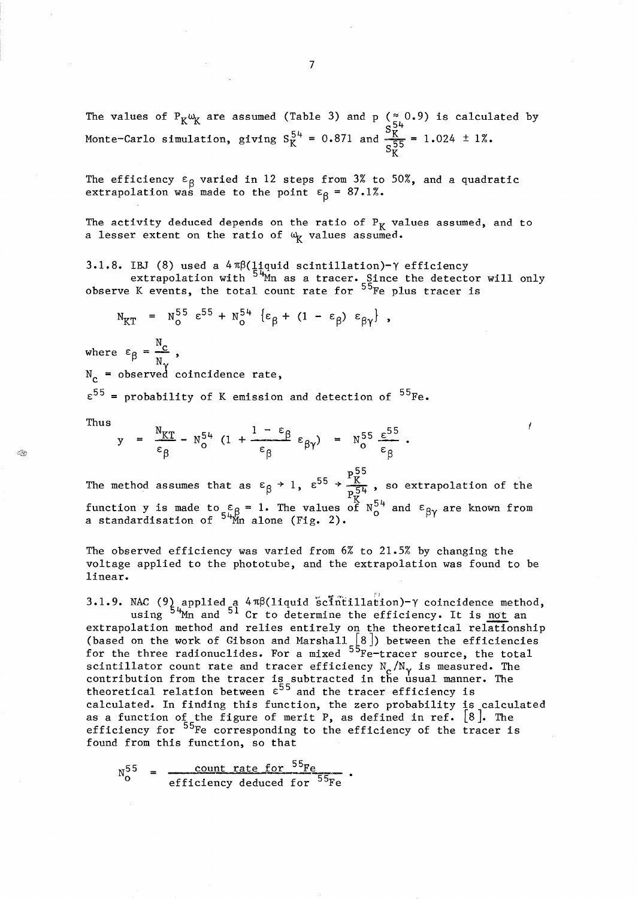7

The values of  $P_K \omega_K$  are assumed (Table 3) and p ( $\approx 0.9$ ) is calculated by Monte-Carlo simulation, giving  $S_K^{54} = 0.871$  and  $\frac{9K}{255} = 1.024 \pm 1\%$ .  $S_{\rm K}$ 

The efficiency  $\varepsilon_{\sf g}$  varied in 12 steps from  $3\%$  to  $50\%$ , and a quadratic extrapolation was made to the point  $\varepsilon_{\beta}$  = 87.1%.

The activity deduced depends on the ratio of  $P_K$  values assumed, and to a lesser extent on the ratio of  $\omega_{\mathbf{K}}$  values assumed.

3.1.8. IBJ (8) used a  $4\pi\beta$ (liquid scintillation)- $\gamma$  efficiency extrapolation with  $5\frac{\mu_{\text{m}}}{2}$  as a tracer. Since the detector will only observe K events, the total count rate for  $^{55}$ Fe plus tracer is

 $N_{KT}$  =  $N_O^{55} \epsilon^{55} + N_O^{54} \{\epsilon_\beta + (1 - \epsilon_\beta) \epsilon_{\beta\gamma}\},$ 

where  $\varepsilon_{\beta} = \frac{N_{\rm C}}{N}$  $N_c$  = observed coincidence rate,

 $\varepsilon^{55}$  = probability of K emission and detection of  $^{55}$ Fe.

Thus

 $<$ 

$$
y = \frac{N_{KT}}{\epsilon_{\beta}} - N_{o}^{54} \left(1 + \frac{1 - \epsilon_{\beta}}{\epsilon_{\beta}} \epsilon_{\beta \gamma} \right) = N_{o}^{55} \frac{\epsilon^{55}}{\epsilon_{\beta}}.
$$

p55 The method assumes that as  $\varepsilon_{\beta} \to 1$ ,  $\varepsilon^{55} \to \frac{1_K}{p_*^{54}}$ , so extrapolation of the function y is made to  $\varepsilon_{\rm n.6}$  = 1. The values of  $\rm N_{o}^{54}$  and  $\epsilon_{\rm \beta\gamma}$  are known from a standardisation of  $54\frac{M}{M}$ n alone (Fig. 2).

~

The observed efficiency was varied from 6% to 21.5% by changing the voltage applied to the phototube, and the extrapolation was found to be linear.

3.1.9. NAC (9) applied a  $4 \pi \beta(1$ iquid scintillation)- $\gamma$  coincidence method, using  $5\frac{\mu_{\text{Mn}}}{}$  and  $51$  Cr to determine the efficiency. It is <u>not</u> an extrapolation method and relies entirely on the theoretical relationship (based on the work of Gibson and Marshall  $\lceil 8 \rceil$ ) between the efficiencies for the three radionuclides. For a mixed  $55$  $Fe^{-}$ tracer source, the total scintillator count rate and tracer efficiency  $N_c/N_{\gamma}$  is measured. The contribution from the tracer is subtracted in the usual manner. The theoretical relation between  $\epsilon^{55}$  and the tracer efficiency is calculated. In finding this function, the zero probability is calculated as a function of the figure of merit P, as defined in ref.  $[8]$ . The efficiency for <sup>55</sup>Fe corresponding to the efficiency of the tracer is found from this function, so that

$$
N_0^{55} = \frac{\text{count rate for }^{55}\text{Fe}}{\text{efficiency deduced for }^{55}\text{Fe}}
$$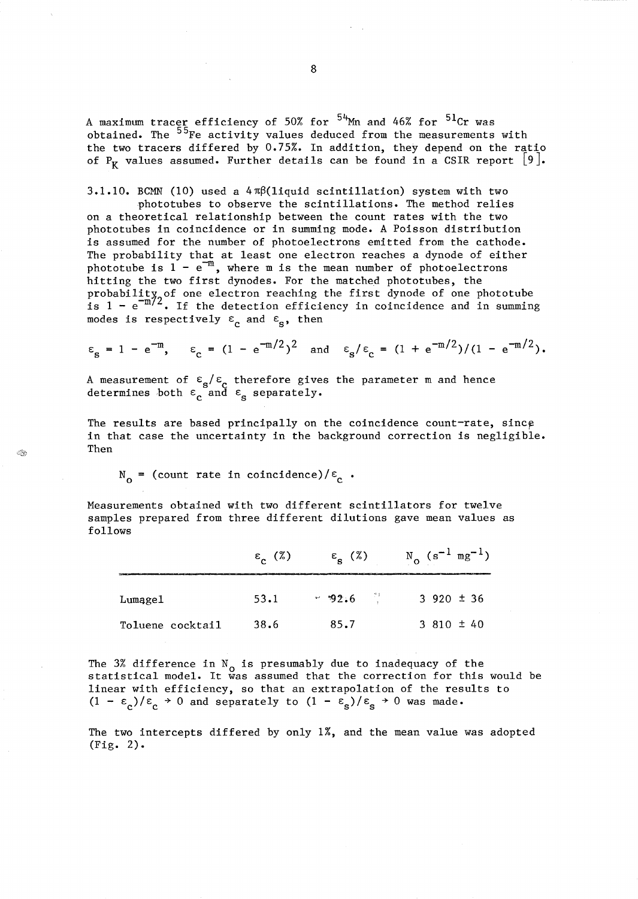A maximum tracer efficiency of 50% for  $^{54}$ Mn and 46% for  $^{51}$ Cr was obtained. The <sup>55</sup>Fe activity values deduced from the measurements with the two tracers differed by 0.75%. In addition, they depend on the ratio of P<sub>K</sub> values assumed. Further details can be found in a CSIR report [9].

3.1.10. BCMN (10) used a  $4\pi\beta$ (liquid scintillation) system with two

phototubes to observe the scintillations. The method relies on a theoretical relationship between the count rates with the two phototubes in coincidence or in summing mode. A Poisson distribution is assumed for the number of photoelectrons emitted from the cathode. The probability that at least one electron reaches a dynode of either phototube is  $1 - e^{-m}$ , where m is the mean number of photoelectrons hitting the two first dynodes. For the matched phototubes, the probability, of one electron reaching the first dynode of one phototube is  $1 - e^{-m/2}$ . If the detection efficiency in coincidence and in summing modes is respectively  $\varepsilon_c$  and  $\varepsilon_s$ , then

$$
\varepsilon_{\rm s} = 1 - e^{-m}
$$
,  $\varepsilon_{\rm c} = (1 - e^{-m/2})^2$  and  $\varepsilon_{\rm s}/\varepsilon_{\rm c} = (1 + e^{-m/2})/(1 - e^{-m/2})$ .

A measurement of  $\varepsilon_{\rm s}/\varepsilon_{\rm c}$  therefore gives the parameter m and hence determines both  $\varepsilon_c$  and  $\varepsilon_s$  separately.

The results are based principally on the coincidence count-rate, since in that case the uncertainty in the background correction is negligible. Then

 $N_{o}$  = (count rate in coincidence)/ $\varepsilon_{c}$ .

 $\mathbb{Q}$ 

Measurements obtained with two different scintillators for twelve samples prepared from three different dilutions gave mean values as follows

|                  | $\varepsilon$ (%) | $\varepsilon_{\rm g}^{\rm (x)}$ | $N_0$ (s <sup>-1</sup> mg <sup>-1</sup> ) |
|------------------|-------------------|---------------------------------|-------------------------------------------|
| Lumagel          | 53.1              | $-92.6$                         | $3\,920 \pm 36$                           |
| Toluene cocktail | 38.6              | 85.7                            | 3 810 $\pm$ 40                            |

The 3% difference in  $N_{o}$  is presumably due to inadequacy of the statistical model. It was assumed that the correction for this would be linear with efficiency, so that an extrapolation of the results to  $(1 - \varepsilon_c)/\varepsilon_c$   $\rightarrow$  0 and separately to  $(1 - \varepsilon_s)/\varepsilon_s$   $\rightarrow$  0 was made.

The two intercepts differed by only 1%, and the mean value was adopted (Fig. 2).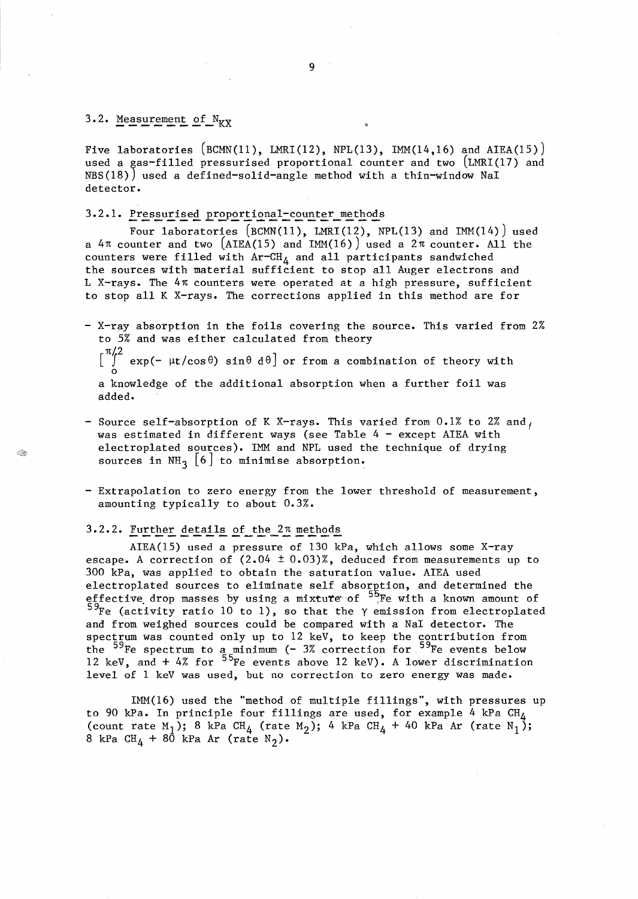### 3.2. Measurement of  $N_{\text{KX}}$

Í.

Five laboratories  $(BCMN(11), LMRI(12), NPL(13), LMM(14,16)$  and AIEA(15)) used a gas-filled pressurised proportional counter and two  $(LMRL(17)$  and NBS(18)) used a defined-solid-angle method with a thin-window NaI detector.

### 3.2.1. Pressurised proportional-counter methods

Four laboratories (BCMN(11), LMRI(12), NPL(13) and IMM(14)) used a  $4\pi$  counter and two (AIEA(15) and IMM(16)) used a  $2\pi$  counter. All the counters were filled with  $Ar-CH_4$  and all participants sandwiched the sources with material sufficient to stop all Auger electrons and L X-rays. The *4n* counters were operated at a high pressure, sufficient to stop all K X-rays. The corrections applied in this method are for

- X-ray absorption in the foils covering the source. This varied from 2% to 5% and was either calculated from theory  $\begin{bmatrix} \pi/2 \\ \int_0^{\pi/2} \exp(-\mu t/cos\theta) \sin\theta d\theta \end{bmatrix}$  or from a combination of theory with

a knowledge of the additional absorption when a further foil was added.

- Source self-absorption of K X-rays. This varied from 0.1% to 2% and, was estimated in different ways (see Table  $4 -$  except AIEA with electroplated sources). IMM and NPL used the technique of drying sources in NH<sub>3</sub> [6] to minimise absorption.
- Extrapolation to zero energy from the lower threshold of measurement, amounting typically to about 0.3%.

### 3.2.2. Further details of the *2n* methods

AIEA(15) used a pressure of 130 kPa, which allows some X-ray escape. A correction of  $(2.04 \pm 0.03)\%$ , deduced from measurements up to 300 kPa, was applied to obtain the saturation value. AIEA used electroplated sources to eliminate self absorption, and determined the effective drop masses by using a mixture of  $^{55}$ Fe with a known amount of  $5\%$ Fe (activity ratio 10 to 1), so that the  $\gamma$  emission from electroplated and from weighed sources could be compared with a NaI detector. The spectrum was counted only up to 12 keV, to keep the contribution from the <sup>59</sup>Fe spectrum to a minimum (- 3% correction for <sup>59</sup>Fe events below 12 keV, and  $+$  4% for  $^{55}$ Fe events above 12 keV). A lower discrimination level of 1 keV was used, but no correction to zero energy was made.

IMM(16) used the "method of multiple fillings", with pressures up to 90 kPa. In principle four fillings are used, for example 4 kPa  $CH_4$ (count rate M<sub>1</sub>); 8 kPa CH<sub>4</sub> (rate M<sub>2</sub>); 4 kPa CH<sub>4</sub> + 40 kPa Ar (rate N<sub>1</sub>); 8 kPa CH<sub>4</sub> + 80 kPa Ar (rate N<sub>2</sub>).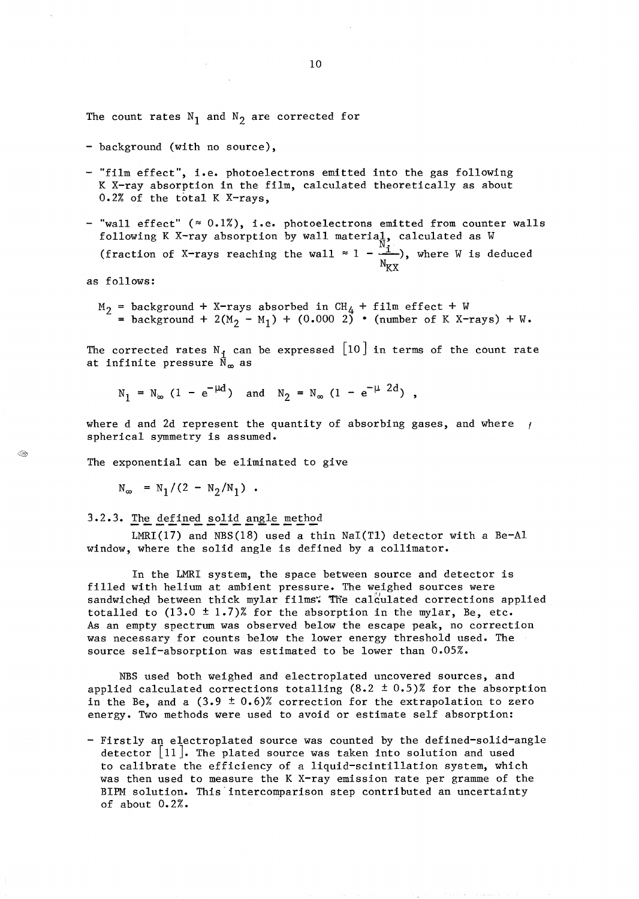The count rates  $N_1$  and  $N_2$  are corrected for

- background (with no source),
- "film effect", i.e. photoelectrons emitted into the gas following K X-ray absorption in the film, calculated theoretically as about 0.2% of the total K X-rays,
- "wall effect"  $($   $\approx$  0.1%), i.e. photoelectrons emitted from counter walls following K X-ray absorption (fraction of X-rays reaching by wall material, calculated as W the wall  $\approx 1 - \frac{m}{v}$ , where W is deduced  $N_{\text{KX}}$

as follows:

background + X-rays absorbed in  $CH_4$  + film effect + W = background + 2(M<sub>2</sub> - M<sub>1</sub>) + (0.000 2) • (number of K X-rays) + W.

The corrected rates  $N_i$  can be expressed  $[10]$  in terms of the count rate at infinite pressure  $\bar{N}_{\infty}$  as

$$
N_1 = N_{\infty} (1 - e^{-\mu d})
$$
 and  $N_2 = N_{\infty} (1 - e^{-\mu 2d})$ ,

where d and 2d represent the quantity of absorbing gases, and where  $\mu$ spherical symmetry is assumed.

The exponential can be eliminated to give

 $N_{\infty} = N_1 / (2 - N_2 / N_1)$ .

3.2.3. The defined solid angle method

LMRI(17) and NBS(18) used a thin NaI(T1) detector with a Be-Al window, where the solid angle is defined by a collimator.

In the LMRI system, the space between source and detector is filled with helium at ambient pressure. The weighed sources were sandwiched between thick mylar films. The calculated corrections applied totalled to  $(13.0 \pm 1.7)$ % for the absorption in the mylar, Be, etc. As an empty spectrum was observed below the escape peak, no correction was necessary for counts below the lower energy threshold used. The source self-absorption was estimated to be lower than 0.05%.

NBS used both weighed and electroplated uncovered sources, and applied calculated corrections totalling  $(8.2 \pm 0.5)\%$  for the absorption in the Be, and a  $(3.9 \pm 0.6)$ % correction for the extrapolation to zero energy. Two methods were used to avoid or estimate self absorption:

- Firstly an electroplated source was counted by the defined-solid-angle detector  $\lfloor 11 \rfloor$ . The plated source was taken into solution and used to calibrate the efficiency of a liquid-scintillation system, which was then used to measure the K X-ray emission rate per gramme of the BIPM solution. This intercomparison step contributed an uncertainty of about 0.2%.

CM.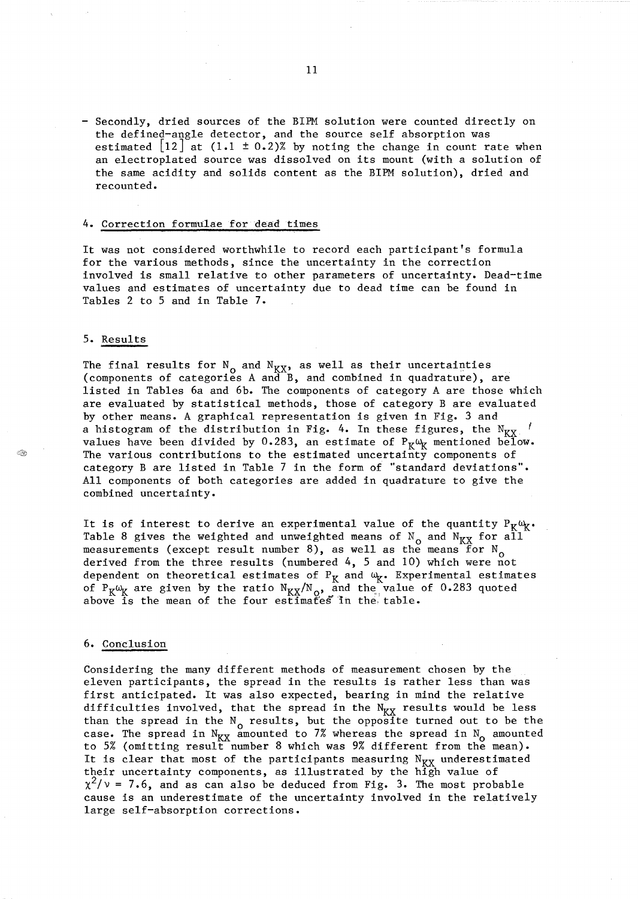- Secondly, dried sources of the BIPM solution were counted directly on the defined-angle detector, and the source self absorption was estimated  $|12|$  at  $(1.1 \pm 0.2)$ % by noting the change in count rate when an electroplated source was dissolved on its mount (with a solution of the same acidity and solids content as the BIPM solution), dried and recounted.

#### 4. Correction formulae for dead times

It was not considered worthwhile to record each participant's formula for the various methods, since the uncertainty in the correction involved is small relative to other parameters of uncertainty. Dead-time values and estimates of uncertainty due to dead time can be found in Tables 2 to 5 and in Table 7.

#### 5. Results

Â.

The final results for  $N_{\text{o}}$  and  $N_{\text{XX}}$  as well as their uncertainties (components of categories A and B, and combined in quadrature), are listed in Tables 6a and 6b. The components of category A are those which are evaluated by statistical methods, those of category B are evaluated by other means. A graphical representation is given in Fig. 3 and a histogram of the distribution in Fig. 4. In these figures, the  $N_{\text{K}X}$ . values have been divided by 0.283, an estimate of  $P_K\omega_K$  mentioned below. The various contributions to the estimated uncertainty components of category B are listed in Table 7 in the form of "standard deviations". All components of both categories are added in quadrature to give the combined uncertainty.

It is of interest to derive an experimental value of the quantity  $P_K\omega_{\chi}$ . Table 8 gives the weighted and unweighted means of  $N_{\text{o}}$  and  $N_{\text{K}\text{X}}$  for all measurements (except result number 8), as well as the means for  $N_{\Omega}$ derived from the three results (numbered 4, 5 and 10) which were not dependent on theoretical estimates of  $P_K$  and  $\omega_K$ . Experimental estimates of  $P_K \omega_K$  are given by the ratio  $N_{K,X}/N_{\mathcal{Q}}$ , and the value of 0.283 quoted above is the mean of the four estimates in the, table.

#### 6. Conclusion

Considering the many different methods of measurement chosen by the eleven participants, the spread in the results is rather less than was first anticipated. It was also expected, bearing in mind the relative difficulties involved, that the spread in the  $N_{\text{KY}}$  results would be less than the spread in the  $N_0$  results, but the opposite turned out to be the case. The spread in  $N_{\text{K} \text{X}}$  amounted to 7% whereas the spread in  $N_{\text{o}}$  amounted to 5% (omitting result number 8 which was 9% different from the mean). It is clear that most of the participants measuring  $N_{\text{KY}}$  underestimated their uncertainty components, as illustrated by the high value of  $x^2/v = 7.6$ , and as can also be deduced from Fig. 3. The most probable cause is an underestimate of the uncertainty involved in the relatively large self-absorption corrections.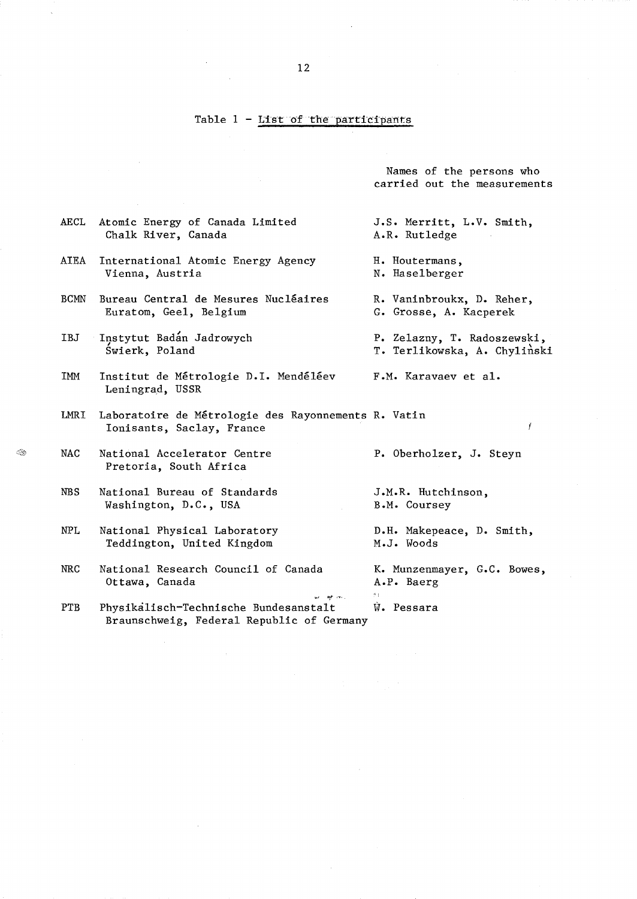#### Table  $1$  - List of the participants

Names of the persons who carried out the measurements

- AECL Atomic Energy of Canada Limited Chalk River, Canada
- AIEA International Atomic Energy Agency Vienna, Austria
- BCMN Bureau Central de Mesures Nucléaires Euratom, Geel, Belgium
- IBJ Instytut Badan Jadrowych Swierk, Poland
- IMM Institut de Metrologie D.I. Mendeleev Leningrad, USSR
- LMRI Laboratoire de Metrologie des Rayonnements R. Vatin Ionisants, Saclay, France
- NAC National Accelerator Centre Pretoria, South Africa
	- NBS National Bureau of Standards Washington, D.C., USA
	- NPL National Physical Laboratory Teddington, United Kingdom
	- NRC National Research Council of Canada Ottawa, Canada
	- PTB Physikalisch-Technische Bundesanstalt Braunschweig, Federal Republic of Germany
- J.S. Merritt, L.V. Smith, A.R. Rutledge
- H. Houtermans, N. Haselberger
- R. Vaninbroukx, D. Reher, G. Grosse, A. Kacperek
- P. Zelazny, T. Radoszewski, T. Terlikowska, A. Chylinski

 $\mathbf{f}$ 

F.M. Karavaev et al.

P. Oberholzer, J. Steyn

J.M.R. Hutchinson, B.M. Coursey

D.H. Makepeace, D. Smith, M.J. Woods

K. Munzenmayer, G.C. Bowes, A.P. Baerg

 $W$ . Pessara

 $\vec{B}$  :

as of m.

 $~\ddot{\sim}$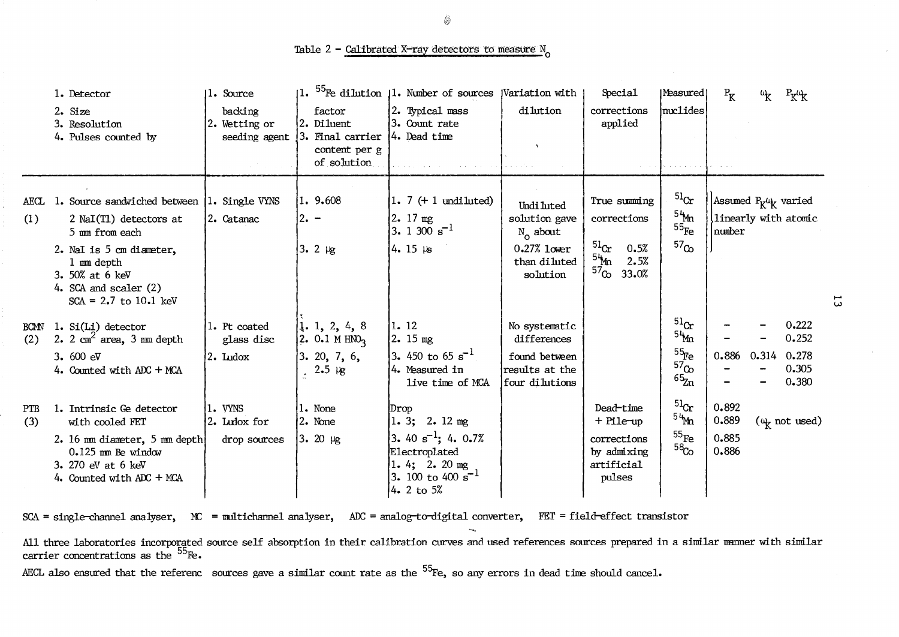Table 2 - Calibrated X-ray detectors to measure  $N_0$ 

|                    | 1. Detector<br>2. Size<br>3. Resolution<br>4. Pulses counted by                                                                                                                                            | 11. Source<br>backing<br>2. Wetting or<br>seeding agent | factor<br>2. Diluent<br>3. Final carrier<br>content per g<br>of solution | 1. <sup>55</sup> Fe dilution 11. Number of sources<br>2. Typical mass<br>3. Count rate<br>4. Dead time                                     | Wariation with<br>dilution                                                               | Special<br>corrections<br>applied                                                                    | Measured<br>nuclides                                            | $P_{K}$                          |       | $P_K$ <sup><math>\mu</math></sup> $K$                 |
|--------------------|------------------------------------------------------------------------------------------------------------------------------------------------------------------------------------------------------------|---------------------------------------------------------|--------------------------------------------------------------------------|--------------------------------------------------------------------------------------------------------------------------------------------|------------------------------------------------------------------------------------------|------------------------------------------------------------------------------------------------------|-----------------------------------------------------------------|----------------------------------|-------|-------------------------------------------------------|
| AECL<br>(1)        | 1. Source sandwiched between 1. Single VYNS<br>2 NaI(T1) detectors at<br>5 mm from each<br>2. NaI is 5 cm diameter,<br>1 mm depth<br>3. 50% at 6 keV<br>4. SCA and scaler $(2)$<br>$SCA = 2.7$ to 10.1 keV | 2. Catanac                                              | 1. 9.608<br>$2. -$<br>$3.2 \mu g$                                        | $1.7 (+ 1$ undiluted)<br>$2.17 \text{ mg}$<br>3. 1 300 $s^{-1}$<br>$4.15 \mu s$                                                            | Undi luted<br>solution gave<br>$N_0$ about<br>$0.27\%$ lower<br>than diluted<br>solution | True summing<br>corrections<br>$^{51}$ Cr<br>0.5%<br><sup>54</sup> ⁄m<br>2.5%<br>$^{57}$ Co<br>33.0% | $^{51}$ Cr<br>54m<br>$55_{\text{Fe}}$<br>57 <sub>Co</sub>       | number                           |       | Assumed $P_K \omega_K$ varied<br>linearly with atomic |
| <b>BCMN</b><br>(2) | 1. $Si(Li)$ detector<br>2. $2 \text{ cm}^2$ area, 3 mm depth<br>3.600 eV<br>4. Counted with ADC + MCA                                                                                                      | 1. Pt coated<br>glass disc<br>2. Ludox                  | 1.1, 2, 4, 8<br>2. 0.1 M $HNO3$<br>3.20, 7, 6,<br>$2.5 \text{ kg}$       | 1. 12<br>2.15 mg<br>3. 450 to 65 $s^{-1}$<br>4. Measured in<br>live time of MCA                                                            | No systematic<br>differences<br>found between<br>results at the<br>four dilutions        |                                                                                                      | $^{51}$ Cr<br>54m<br>$^{55}$ Fe<br>57 <sub>Co</sub><br>$65\$ Zn | 0.886                            | 0.314 | 0.222<br>0.252<br>0.278<br>0.305<br>0.380             |
| PTB<br>(3)         | 1. Intrinsic Ge detector<br>with cooled FET<br>2. 16 mm diameter, 5 mm depth<br>$0.125$ mm Be window<br>3. 270 eV at 6 keV<br>4. Counted with ADC + MCA                                                    | 1. VYNS<br>2. Ludox for<br>drop sources                 | 1. None<br>2. None<br>$3.20 \mu g$                                       | Drop<br>1.3; 2.12mg<br>3. 40 $\mathrm{s}^{-1}$ ; 4. 0.7%<br>Electroplated<br>1. 4; 2. 20 mg<br>3. 100 to 400 s <sup>-1</sup><br>4. 2 to 5% |                                                                                          | Dead-time<br>+ Pile-up<br>corrections<br>by admixing<br>artificial<br>pulses                         | $^{51}$ Cr<br>54m<br>$^{55}$ Fe<br>58 <sub>Co</sub>             | 0.892<br>0.889<br>0.885<br>0.886 |       | $(\omega_{\rm k}$ not used)                           |

SCA = single-channel analyser, MC = multichannel analyser, ADC = analog-to-digital converter, FET = field-effect transistor

ದ

All three laboratories incorporated source self absorption in their calibration curves and used references sources prepared in a similar manner with similar carrier concentrations as the <sup>55</sup>Fe.

AECL also ensured that the referenc sources gave a similar count rate as the <sup>55</sup>Fe, so any errors in dead time should cancel.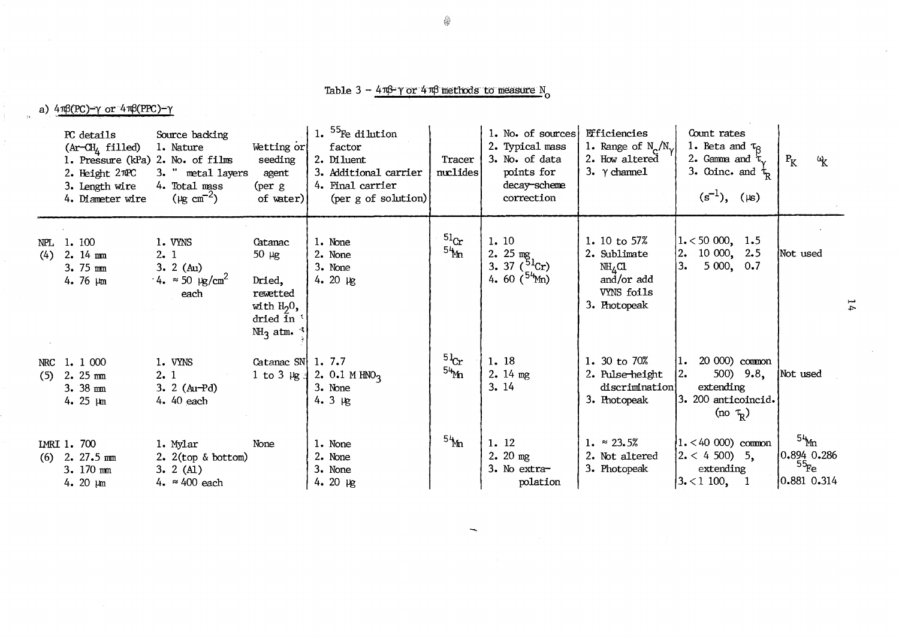# Table  $3 - 4\pi\beta \gamma$  or  $4\pi\beta$  methods to measure N<sub>o</sub>

a)  $4\pi\beta(PC)-\gamma$  or  $4\pi\beta(PPC)-\gamma$ 

|     | PC details<br>$(Ar-CHA$ filled)<br>1. Pressure (kPa) 2. No. of films<br>2. Height $2 \pi PC$<br>3. Length wire<br>4. Diameter wire | Source backing<br>1. Nature<br>3. " metal layers<br>4. Total mass<br>( $\mu$ g cm <sup>-2</sup> ) | Wetting or<br>seeding<br>agent<br>(per g<br>of water)                                                 | 1. $55$ Fe dilution<br>factor<br>2. Diluent<br>3. Additional carrier<br>4. Final carrier<br>$(\text{per } g \text{ of solution})$ | Tracer<br>nuclides             | 1. No. of sources<br>2. Typical mass<br>3. No. of data<br>points for<br>decay-scheme<br>correction | Efficiencies<br>1. Range of $N_{\gamma}/N_{\gamma}$<br>2. How altered<br>3. γ channel          | Count rates<br>1. Beta and $\tau_{\beta}$<br>2. Gamma and $\tau_{\gamma}$<br>3. Coinc. and $\tau_R$<br>$(s^{-1}), ( \mu s)$ | $P_{K}$<br>$\mathfrak{a}_{\mathsf{K}}$                |
|-----|------------------------------------------------------------------------------------------------------------------------------------|---------------------------------------------------------------------------------------------------|-------------------------------------------------------------------------------------------------------|-----------------------------------------------------------------------------------------------------------------------------------|--------------------------------|----------------------------------------------------------------------------------------------------|------------------------------------------------------------------------------------------------|-----------------------------------------------------------------------------------------------------------------------------|-------------------------------------------------------|
| (4) | NPL 1.100<br>$2.14 \text{ mm}$<br>$3.75 \text{ mm}$<br>4. 76 $\mu$ m                                                               | 1. VYNS<br>2.1<br>$3.2$ (Au)<br>$4. \approx 50 \text{ kg/cm}^2$<br>each                           | Catanac<br>$50 \mu g$<br>Dried,<br>rewetted<br>with $H20$ ,<br>dried in '<br>$M_3$ atm. $\frac{3}{2}$ | 1. None<br>2. None<br>3. None<br>4. 20 $\mu$ g                                                                                    | $^{51}$ Cr<br>54 <sub>bn</sub> | 1.10<br>2. $25 \text{ mg}$<br>3. 37 $(^{51}Cr)$<br>4. 60 $(^{54}$ Mn)                              | 1. 10 to 57%<br>2. Sublimate<br>NH <sub>A</sub> CL<br>and/or add<br>VYNS foils<br>3. Photopeak | $1.50000$ , 1.5<br>$10\ 000, \quad 2.5$<br> 2.<br>l3.<br>5000, 0.7                                                          | Not used                                              |
|     | NRC 1. 1 000<br>$(5)$ 2. 25 mm<br>$3.38$ mm<br>4. 25 $\mu$ m                                                                       | 1. VYNS<br>2.1<br>3. 2 $(Au-Pd)$<br>4. 40 each                                                    | Catanac SN $\vert$ 1.7.7<br>$1$ to $3 \text{ kg}$                                                     | 2. $0.1 M HNO3$<br>3. None<br>$4.3 \mu$                                                                                           | $5\frac{1}{2}$<br>54Mn         | 1. 18<br>2.14 mg<br>3.14                                                                           | 1. 30 to $70\%$<br>2. Pulse-height<br>discrimination<br>3. Photopeak                           | $1.20000$ common<br>500) $9.8$ ,<br> 2.<br>extending<br>3. 200 anticoincid.<br>(no $\tau_{\rm R}$ )                         | Not used                                              |
|     | IMRI 1.700<br>$(6)$ 2. 27.5 mm<br>3. 170 mm<br>4. 20 $\mu$ m                                                                       | 1. Mylar<br>2. $2(\text{top} \& \text{bottom})$<br>3.2 (A1)<br>4. $\approx 400$ each              | None                                                                                                  | 1. None<br>2. None<br>3. None<br>4. 20 $\mu$ g                                                                                    | $5\frac{1}{2}$                 | 1.12<br>$2.20$ mg<br>3. No extra-<br>polation                                                      | 1. $\approx 23.5\%$<br>2. Not altered<br>3. Photopeak                                          | $1. < 40000$ common<br>$\left 2 \right  < 4\,500$ ) 5,<br>extending<br>$\left 3, 1100, 1\right $                            | $54$ m<br>[0.894 0.286]<br>$^{55}$ Fe<br> 0.881 0.314 |

 $\overline{\phantom{m}}$ 

4

 $14$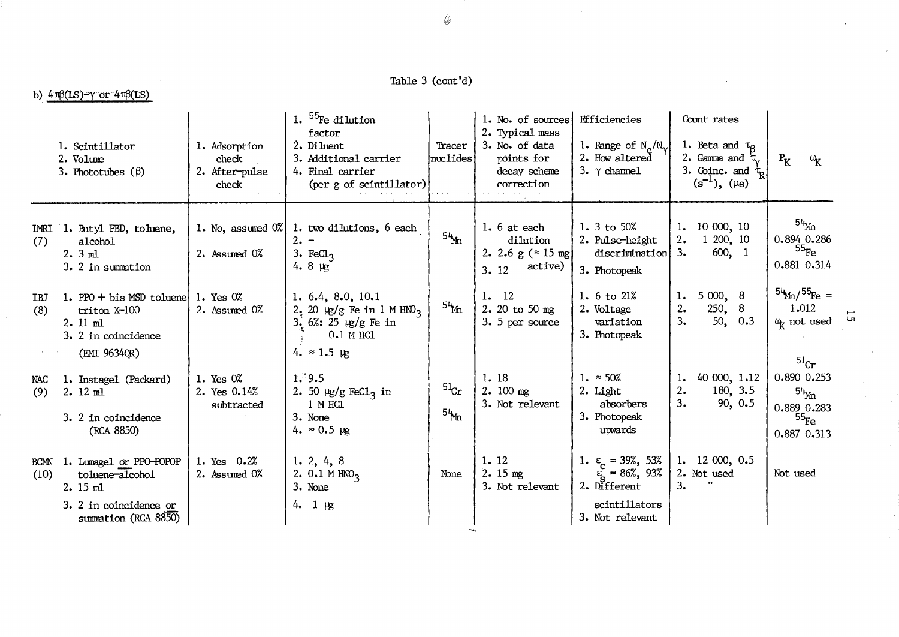Table  $3 (cont'd)$ 

# b)  $4\pi\beta(LS)-\gamma$  or  $4\pi\beta(LS)$

|                     | 1. Scintillator<br>2. Volume<br>3. Phototubes $(\beta)$                                                   | 1. Adsorption<br>check<br>2. After-pulse<br>check | 1. $55$ Fe dilution<br>factor<br>2. Diluent<br>3. Additional carrier<br>4. Final carrier<br>(per g of scintillator)                               | Tracer<br>muclides | 1. No. of sources<br>2. Typical mass<br>3. No. of data<br>points for<br>decay scheme<br>correction | Efficiencies<br>1. Range of $N_{\gamma}/N_{\gamma}$<br>2. How altered<br>3. $\gamma$ channel                            | Count rates<br>1. Beta and $\tau_{\beta}$<br>2. Gamma and<br>3. Coinc. and $\tau_{\rm p}$<br>$(s^{-1}), (\mu s)$ | $P_{K}$<br>$\omega_{\rm K}$                                                       |
|---------------------|-----------------------------------------------------------------------------------------------------------|---------------------------------------------------|---------------------------------------------------------------------------------------------------------------------------------------------------|--------------------|----------------------------------------------------------------------------------------------------|-------------------------------------------------------------------------------------------------------------------------|------------------------------------------------------------------------------------------------------------------|-----------------------------------------------------------------------------------|
| IMRI<br>(7)         | 1. Butyl PBD, toluene,<br>alcohol<br>$2.3$ ml<br>3. 2 in summation                                        | 2. Assumed $0\%$                                  | 1. No, assumed $0\%$ 1. two dilutions, 6 each<br>$2. -$<br>3. Fe $\text{Cl}_3$<br>4. $8 \mu g$                                                    | 54m                | 1. 6 at each<br>dilution<br>2. 2.6 g ( $\approx$ 15 mg)<br>active)<br>3.12                         | 1. 3 to 50%<br>2. Pulse-height<br>discrimination<br>3. Photopeak                                                        | 10000, 10<br>1.<br>1,200,10<br>2.<br>3.<br>600, 1                                                                | $^{54}$ Mn<br>0.894 0.286<br>$^{55}\!$ Fe $\,$<br>0.881 0.314                     |
| IBJ<br>(8)          | 1. PPO $+$ bis MSD toluene<br>triton X-100<br>2. 11 ml<br>3. 2 in coincidence<br>(EMI 9634QR)             | 1. Yes $0\%$<br>2. Assumed 0%                     | 1. $6.4$ , $8.0$ , $10.1$<br>$2.20 \text{ kg/g}$ Fe in 1 M HNO <sub>3</sub><br>$3.6%: 25 \text{ kg/g}$ Fe in<br>$0.1$ MHCl<br>4. $\approx 1.5$ kg | 54 <sub>Mn</sub>   | 1.12<br>2. 20 to 50 mg<br>3. 5 per source                                                          | 1. $6 \text{ to } 21\%$<br>2. Voltage<br>variation<br>3. Photopeak                                                      | 5000, 8<br>1.<br>250, 8<br>2.<br>3.<br>50, 0.3                                                                   | $^{54}$ m/ $^{55}$ Fe =<br>1.012<br>$\omega_{\mathcal{K}}$ not used<br>$^{51}$ Cr |
| NAC<br>(9)          | 1. Instage1 (Packard)<br>$2.12$ ml<br>3. 2 in coincidence<br>(RCA 8850)                                   | 1. Yes 0%<br>2. Yes 0.14%<br>subtracted           | 1.39.5<br>2. 50 $\mu$ g/g FeC1 <sub>3</sub> in<br>1 M HCL<br>3. None<br>4. $\approx 0.5$ µg                                                       | $^{51}$ Cr<br>54m  | 1.18<br>$2.100$ mg<br>3. Not relevant                                                              | 1. $\approx 50\%$<br>2. Light<br>absorbers<br>3. Photopeak<br>upwards                                                   | 40 000, 1.12<br>ı.<br>180, 3.5<br>2.<br>3.<br>90, 0.5                                                            | 0.890 0.253<br>$54$ <sub>Mn</sub><br>0.889 0.283<br>$^{55}$ Fe<br>0.887 0.313     |
| <b>BCMN</b><br>(10) | 1. Lumage1 or PPO-POPOP<br>toluene-alcohol<br>$2.15$ ml<br>3. 2 in coincidence or<br>summation (RCA 8850) | 1. Yes 0.2%<br>2. Assumed 0%                      | 1. 2, 4, 8<br>2. 0.1 M $HNO3$<br>3. None<br>$4.1 \mu g$                                                                                           | None               | 1.12<br>$2.15$ mg<br>3. Not relevant                                                               | 1. $\varepsilon$ = 39%, 53%<br>$\tilde{\varepsilon}_s = 86\%, 93\%$<br>2. Different<br>scintillators<br>3. Not relevant | 1. $12\ 000, 0.5$<br>2. Not used<br>3.                                                                           | Not used                                                                          |

 $15$ 

⊜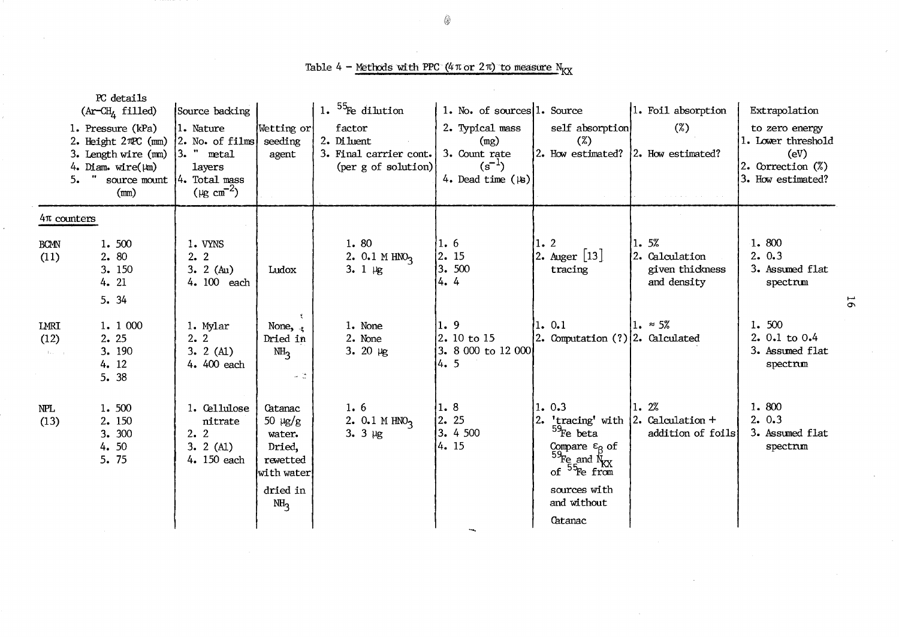Table 4 - Methods with PPC (4  $\pi$  or 2 $\pi$ ) to measure  $N_{\text{XX}}$ 

| 5.                                           | PC details<br>(Ar-CH <sub>4</sub> filled)<br>1. Pressure (kPa)<br>2. Height 2TPC (mm)<br>3. Length wire (mm)<br>4. Diam. wire( $\mu$ m)<br>" source mount<br>(mn) | Source backing<br>1. Nature<br>$2.$ No. of films<br>$3.$ " metal<br>layers<br>$4.$ Total mass<br>$(\mu g \text{ cm}^{-2})$ | Wetting or<br>seeding<br>agent                                                                      | 1. $55$ Fe dilution<br>factor<br>2. Di luent<br>3. Final carrier cont.<br>(per g of solution) | 1. No. of sources 1. Source<br>2. Typical mass<br>(mg)<br>3. Count rate<br>$(s^{-1})$<br>4. Dead time $(\n\mu)$ | self absorption<br>$(\%)$<br>2. How estimated? 2. How estimated?                                                                                        | 1. Foil absorption<br>$(\%)$                                     | Extrapolation<br>to zero energy<br>1. Lower threshold<br>(eV)<br>2. Correction (%)<br>3. How estimated? |    |
|----------------------------------------------|-------------------------------------------------------------------------------------------------------------------------------------------------------------------|----------------------------------------------------------------------------------------------------------------------------|-----------------------------------------------------------------------------------------------------|-----------------------------------------------------------------------------------------------|-----------------------------------------------------------------------------------------------------------------|---------------------------------------------------------------------------------------------------------------------------------------------------------|------------------------------------------------------------------|---------------------------------------------------------------------------------------------------------|----|
| $4\pi$ counters<br><b>BCMN</b><br>(11)       | 1.500<br>2.80<br>3. 150<br>4. 21<br>5.34                                                                                                                          | 1. VYNS<br>2.2<br>3. 2 $(Au)$<br>4. 100 each                                                                               | Ludox                                                                                               | 1.80<br>2. $0.1 M HNO2$<br>$3.1 \, \mu g$                                                     | 1.6 <br>$\left 2\right.$ 15<br>3.500<br>4.4                                                                     | 1.2<br>2. Auger [13]<br>tracing                                                                                                                         | 1.5%<br>2. Calculation<br>given thickness<br>and density         | 1.800<br>2.0.3<br>3. Assumed flat<br>spectrum                                                           | 55 |
| LMRI<br>(12)<br>$\{x_{k}\}_{k\in\mathbb{N}}$ | 1. 1 000<br>2.25<br>3. 190<br>4. 12<br>5. 38                                                                                                                      | 1. Mylar<br>2.2<br>3.2(A1)<br>4. 400 each                                                                                  | $\mathcal{R}^{\pm}$<br>None, $\frac{1}{3}$<br>Dried in<br>NH <sub>3</sub><br>$\sim$ $^{12}_{\odot}$ | 1. None<br>2. None<br>3. 20 $\mu$ g                                                           | 1.9<br>$ 2.10 \text{ to } 15 $<br>3. 8 000 to 12 000<br>4.5                                                     | 1.0.1<br>2. Computation (?) 2. Calculated                                                                                                               | $1. \approx 5\%$                                                 | 1.500<br>2. 0.1 to 0.4<br>3. Assumed flat<br>spectrum                                                   |    |
| NPL<br>(13)                                  | 1.500<br>2. 150<br>3. 300<br>4.50<br>5. 75                                                                                                                        | 1. Cellulose<br>nitrate<br>2.2<br>$3.2$ (A1)<br>4. 150 each                                                                | Catanac<br>50 µg/g<br>water.<br>Dried,<br>rewetted<br>with water<br>dried in<br>NH <sub>3</sub>     | 1.6<br>2. $0.1 M HNO3$<br>3. $3 \mu g$                                                        | 1.8 <br>2. 25<br>3. 4 500<br>4. 15                                                                              | 1.0.3<br>$^{59}$ Fe beta<br>Compare $\varepsilon_{\beta}$ of<br>$^{59}$ Fe and $^{K}_{KX}$ of $^{55}$ Fe from<br>sources with<br>and without<br>Catanac | 1.2%<br>'tracing' with $ 2$ . Calculation +<br>addition of foils | 1.800<br>2.0.3<br>3. Assumed flat<br>spectrum                                                           |    |

fi'

0-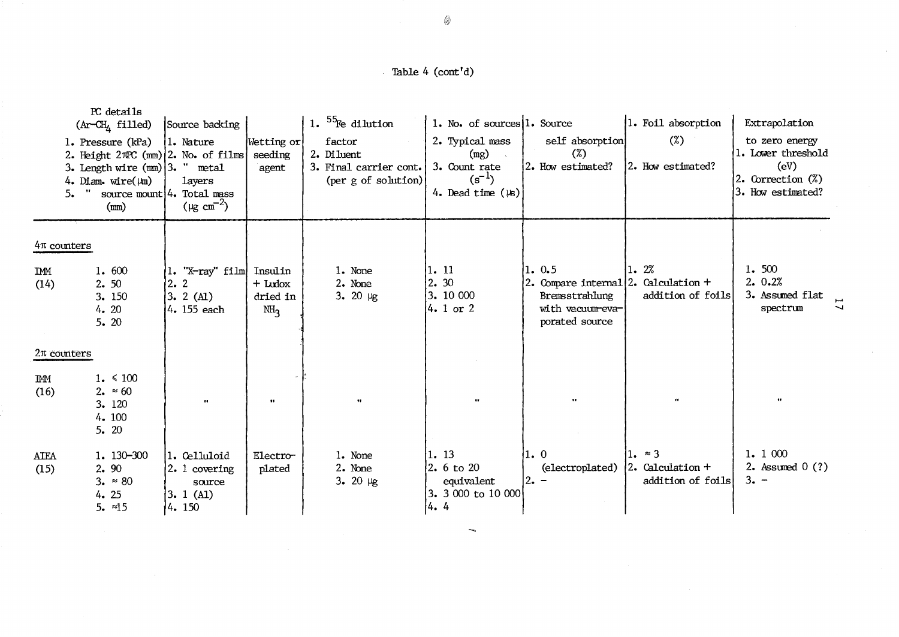## Table 4 (cont'd)

| 5.                  | PC details<br>$(Ar-CHA$ filled)<br>1. Pressure (kPa)<br>2. Height $2\pi$ °C (mm) $2$ . No. of films<br>3. Length wire $(mm)$ 3. " metal<br>4. Diam. wire( $\mu$ m)<br>" source mount $4$ . Total mass<br>(mm) | Source backing<br>1. Nature<br>layers<br>( $\mu$ g cm <sup>-2</sup> ) | Wetting or<br>seeding<br>agent                      | 1. $5\frac{5}{1}$ Fe dilution<br>factor<br>2. Diluent<br>3. Final carrier cont.<br>(per g of solution) | 1. No. of sources 1. Source<br>2. Typical mass<br>(mg)<br>3. Count rate<br>$(s^{-1})$<br>4. Dead time $(\n\mu)$ | self absorption<br>$(\%)$<br>2. How estimated?                                                            | 1. Foil absorption<br>$(\%)$<br>2. How estimated?       | Extrapolation<br>to zero energy<br>1. Lower threshold<br>(eV)<br>2. Correction $(\%)$<br>3. How estimated? |
|---------------------|---------------------------------------------------------------------------------------------------------------------------------------------------------------------------------------------------------------|-----------------------------------------------------------------------|-----------------------------------------------------|--------------------------------------------------------------------------------------------------------|-----------------------------------------------------------------------------------------------------------------|-----------------------------------------------------------------------------------------------------------|---------------------------------------------------------|------------------------------------------------------------------------------------------------------------|
| $4\pi$ counters     |                                                                                                                                                                                                               |                                                                       |                                                     |                                                                                                        |                                                                                                                 |                                                                                                           |                                                         |                                                                                                            |
| IMM<br>(14)         | 1.600<br>2.50<br>3. 150<br>4.20<br>5.20                                                                                                                                                                       | $1.$ "X-ray" film<br>$\left  2 \right $ 2<br>3.2(A1)<br>4. 155 each   | Insulin<br>$+$ Ludox<br>dried in<br>MH <sub>2</sub> | 1. None<br>2. None<br>3. 20 $\mu$ g                                                                    | 1. 11<br>$\left 2. \right. 30\right $<br> 3.10000<br>$4.1$ or 2                                                 | 1.0.5<br>2. Compare internal $ 2$ . Calculation +<br>Bremsstrahlung<br>with vacuum eva-<br>porated source | 1.2%<br>addition of foils                               | 1.500<br>2.0.2%<br>3. Assumed flat<br>spectrum                                                             |
| $2\pi$ counters     |                                                                                                                                                                                                               |                                                                       |                                                     |                                                                                                        |                                                                                                                 |                                                                                                           |                                                         |                                                                                                            |
| <b>IMM</b><br>(16)  | $1. \le 100$<br>2. $\approx 60$<br>3. 120<br>4.100<br>5.20                                                                                                                                                    |                                                                       | $\mathbf{u}$                                        | $\bullet\bullet$                                                                                       | $\bullet$                                                                                                       |                                                                                                           | $\bullet$                                               | $\bullet\bullet$                                                                                           |
| <b>AIEA</b><br>(15) | 1. 130-300<br>2.90<br>$3. \approx 80$<br>4.25<br>$5. \approx 15$                                                                                                                                              | 1. Celluloid<br>$ 2.1$ covering<br>source<br>3.1(A1)<br>4. 150        | Electro-<br>plated                                  | 1. None<br>2. None<br>3. 20 $\mu$ g                                                                    | 1. 13 <br>2. 6 to 20<br>equivalent<br>$ 3.3000 \rangle$ to $10000$<br> 4.4                                      | 11. O<br>(electroplated)<br>$ 2 -$                                                                        | 1. $\approx$ 3<br>2. Calculation +<br>addition of foils | 1. 1 000<br>2. Assumed $0(?)$<br>$3. -$                                                                    |

 $\overline{\phantom{a}}$ 

οù,

 $\sim$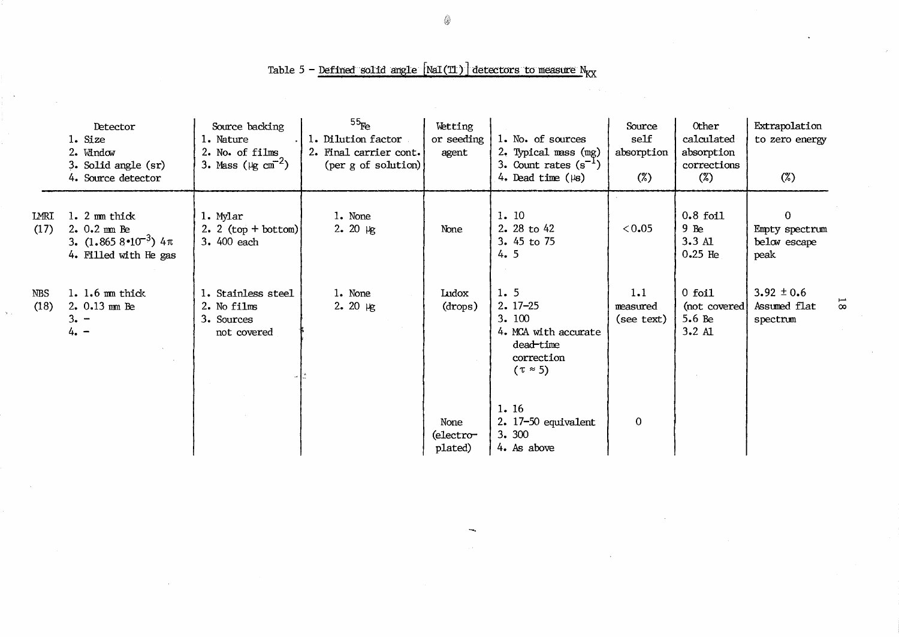# Table 5 - Defined solid angle  $[\text{NaI(T1)}]$  detectors to measure  $N_{\text{XX}}$

|                    | Detector<br>1. Size<br>2. Window<br>3. Solid angle (sr)<br>4. Source detector                                   | Source backing<br>1. Nature<br>2. No. of films<br>3. Mass ( $\mu$ g cm <sup>-2</sup> ) | $^{55}$ Fe<br>1. Dilution factor<br>2. Final carrier cont.<br>$(\text{per } g \text{ of solution})$ | Wetting<br>or seeding<br>agent | 1. No. of sources<br>2. Typical mass (mg)<br>3. Count rates $(s^{-1})$<br>4. Dead time $(\mu s)$     | Source<br>self<br>absorption<br>$(\%)$ | Other<br>calculated<br>absorption<br>corrections<br>$(\%)$ | Extrapolation<br>to zero energy<br>$(\%)$          |                |
|--------------------|-----------------------------------------------------------------------------------------------------------------|----------------------------------------------------------------------------------------|-----------------------------------------------------------------------------------------------------|--------------------------------|------------------------------------------------------------------------------------------------------|----------------------------------------|------------------------------------------------------------|----------------------------------------------------|----------------|
| LMRI<br>(17)       | $1.2 \text{ mm thick}$<br>$2.0.2 \text{ mm}$ Be<br>3. $(1.8658 \cdot 10^{-3})$ 4 $\pi$<br>4. Filled with He gas | 1. Mylar<br>2. 2 $(top + bottom)$<br>3. 400 each                                       | 1. None<br>$2.20 \text{ kg}$                                                                        | None                           | 1.10<br>2. 28 to 42<br>3. 45 to 75<br>4.5                                                            | 0.05                                   | $0.8$ foil<br>$9$ Be<br>3.3A1<br>$0.25$ He                 | $\Omega$<br>Empty spectrum<br>below escape<br>peak |                |
| <b>NBS</b><br>(18) | $1.1.6$ mm thick<br>$2.0.13$ mm Be<br>$3. -$<br>$4. -$                                                          | 1. Stainless steel<br>2. No films<br>3. Sources<br>not covered                         | 1. None<br>$2.20 \text{ kg}$                                                                        | Ludox<br>(drops)               | 1.5<br>$2.17 - 25$<br>3.100<br>4. MCA with accurate<br>dead-time<br>correction<br>$(\tau \approx 5)$ | 1.1<br>measured<br>(see text)          | $0$ foil<br>(not covered)<br>5.6 Be<br>$3.2 \mathrm{Al}$   | $3.92 \pm 0.6$<br>Assumed flat<br>spectrum         | $\overline{8}$ |
|                    |                                                                                                                 |                                                                                        |                                                                                                     | None<br>(electro-<br>plated)   | 1.16<br>2. 17-50 equivalent<br>3. 300<br>4. As above                                                 | $\mathbf{0}$                           |                                                            |                                                    |                |

۵

**18**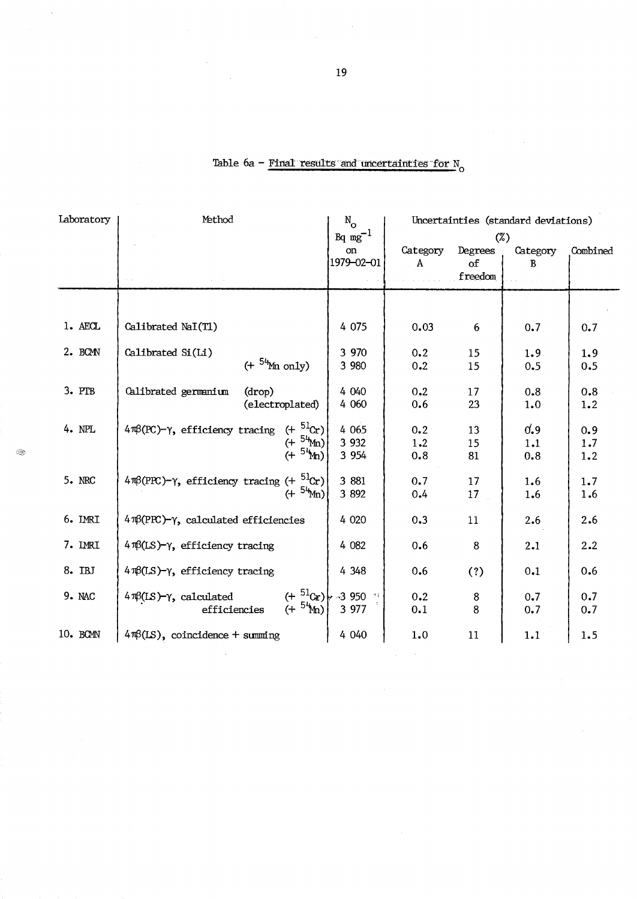| Laboratory | Method                                                                                                               |                        |               | Uncertainties (standard deviations) |               |          |  |
|------------|----------------------------------------------------------------------------------------------------------------------|------------------------|---------------|-------------------------------------|---------------|----------|--|
|            |                                                                                                                      | $\mathrm{Bq\ mg}^{-1}$ |               |                                     | $(\%)$        |          |  |
|            |                                                                                                                      | on<br>1979-02-01       | Category<br>A | Degrees<br>of                       | Category<br>R | Combined |  |
|            |                                                                                                                      |                        |               | freedom                             |               |          |  |
|            |                                                                                                                      |                        |               |                                     |               |          |  |
| 1. AECL    | Calibrated NaI(T1)                                                                                                   | 4 0 7 5                | 0.03          | 6                                   | 0.7           | 0.7      |  |
| 2. BCM     | Calibrated Si(Li)                                                                                                    | 3 970                  | 0.2           | 15                                  | 1.9           | 1.9      |  |
|            | $( + 54$ Mn only)                                                                                                    | 3 980                  | 0.2           | 15                                  | 0.5           | 0.5      |  |
| 3. PTB     | Calibrated germanium<br>(drop)                                                                                       | 4 040                  | 0.2           | 17                                  | 0.8           | 0.8      |  |
|            | (electroplated)                                                                                                      | 4 0 6 0                | 0.6           | 23                                  | 1.0           | 1.2      |  |
| 4. NPL     | $4\pi\beta$ (PC)- $\gamma$ , efficiency tracing (+ $5\log$ )                                                         | 4 0 6 5                | 0.2           | 13                                  | 0.9           | 0.9      |  |
|            | $(+ 54$ Mm)<br>$(+ 54)$                                                                                              | 3 9 3 2                | 1.2           | 15                                  | 1.1           | 1.7      |  |
|            |                                                                                                                      | 3 9 5 4                | 0.8           | 81                                  | 0.8           | 1.2      |  |
| 5. NRC     | $4\pi\beta(PPC)-\gamma$ , efficiency tracing $(+\frac{51}{3}Cr)$                                                     | 3 881                  | 0.7           | 17                                  | 1.6           | 1.7      |  |
|            | $(+ 54$ Mn)                                                                                                          | 3 8 9 2                | 0.4           | 17                                  | 1.6           | 1.6      |  |
| 6. IMRI    | $4\Re(PPC)-\gamma$ , calculated efficiencies                                                                         | 4 0 20                 | 0.3           | 11                                  | 2.6           | 2.6      |  |
| 7. IMRI    | $4\pi(LS)-\gamma$ , efficiency tracing                                                                               | 4 0 82                 | 0.6           | 8                                   | 2.1           | 2.2      |  |
| 8. IBJ     | $4\pi(LS)-\gamma$ , efficiency tracing                                                                               | 4 3 4 8                | 0.6           | (?)                                 | 0.1           | 0.6      |  |
| 9. NAC     | ries $(+ \frac{51}{2}C_F)$ 3 950 <sup>33</sup><br>ties $(+ \frac{54}{2}C_F)$ 3 977<br>$4\pi(LS)-\gamma$ , calculated |                        | 0.2           | $\bf 8$                             | 0.7           | 0.7      |  |
|            | efficiencies                                                                                                         |                        | 0.1           | 8                                   | 0.7           | 0.7      |  |
| 10. BCMN   | $4\pi\beta(IS)$ , coincidence + summing                                                                              | 4 0 4 0                | 1.0           | 11                                  | 1.1           | 1.5      |  |
|            |                                                                                                                      |                        |               |                                     |               |          |  |

# Table 6a - Final results and uncertainties for  $\mathrm{N}_\mathrm{O}$

 $\bar{z}$ 

 $\bar{\mathcal{A}}$ 

❀

 $\hat{\boldsymbol{\beta}}$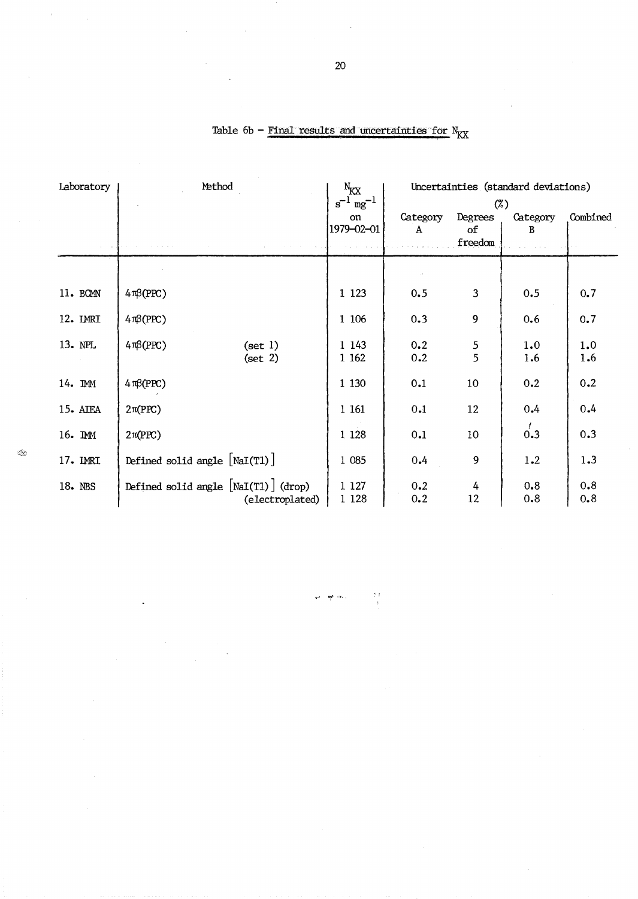| Laboratory | Method                                                    | $N_{\text{KX}}$<br>$s^{-1}$ mg <sup>-1</sup> | Uncertainties (standard deviations)<br>$(\%)$ |                          |               |            |
|------------|-----------------------------------------------------------|----------------------------------------------|-----------------------------------------------|--------------------------|---------------|------------|
|            |                                                           | on<br>1979-02-01                             | Category<br>A                                 | Degrees<br>of<br>freedom | Category<br>B | Combined   |
|            |                                                           |                                              |                                               |                          |               |            |
| 11. BCMN   | $4\pi\beta(PPC)$                                          | 1 1 2 3                                      | 0.5                                           | $\overline{3}$           | 0.5           | 0.7        |
| 12. IMRI   | $4\pi\beta(PPC)$                                          | 1 106                                        | 0.3                                           | 9                        | 0.6           | 0.7        |
| 13. NPL    | $4\pi8(PPC)$<br>(set 1)<br>(set 2)                        | 1 1 4 3<br>1 1 6 2                           | 0.2<br>0.2                                    | $\frac{5}{5}$            | 1.0<br>1.6    | 1.0<br>1.6 |
| 14. IMM    | $4\pi\beta(PPC)$                                          | 1 1 3 0                                      | 0.1                                           | 10                       | 0.2           | 0.2        |
| 15. ATEA   | $2\pi(PPC)$                                               | 1 161                                        | 0.1                                           | 12                       | 0.4           | 0.4        |
| 16. IMM    | $2\pi(PPC)$                                               | 1 1 28                                       | 0.1                                           | 10                       | 0.3           | 0.3        |
| 17. IMRI   | Defined solid angle $[NaI(T1)]$                           | 1 0 8 5                                      | 0.4                                           | 9                        | 1.2           | 1.3        |
| 18. NBS    | Defined solid angle $[NaI(T1)]$ (drop)<br>(electroplated) | 1 1 2 7<br>1 1 28                            | 0.2<br>0.2                                    | 4<br>12                  | 0.8<br>0.8    | 0.8<br>0.8 |

Table 6b - Final results and uncertainties for  $N_{\text{K} \text{X}}$ 

 $\hat{\mathbf{x}}$ 

se <del>gr</del>ovi

 $\bar{z}$ 

 $\frac{1}{3}$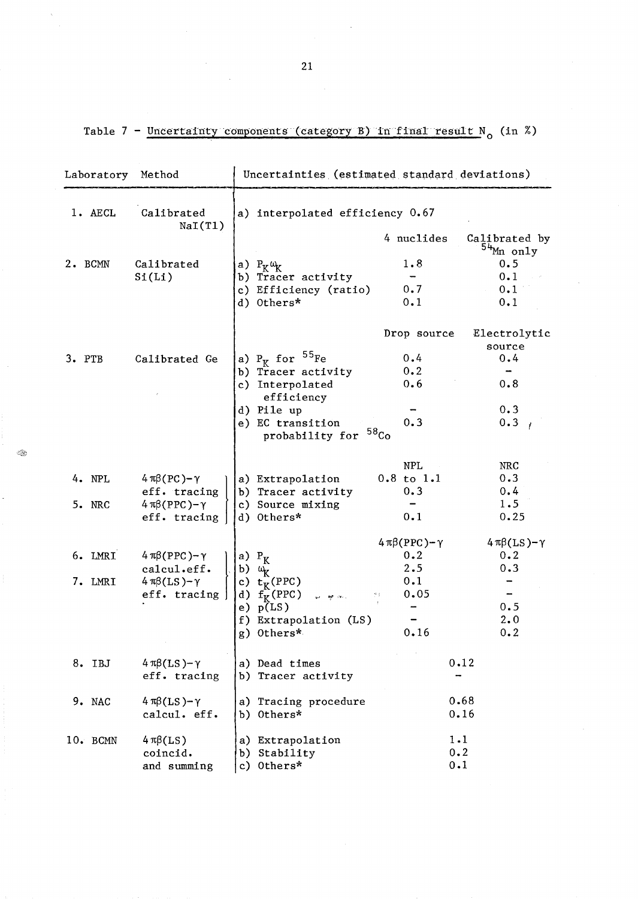Table 7 - Uncertainty components (category B) in final result N<sub>o</sub> (in %)

| Laboratory         | Method                                                                                      | Uncertainties (estimated standard deviations)                                                                                                          |                                                                                                                           |  |  |  |  |
|--------------------|---------------------------------------------------------------------------------------------|--------------------------------------------------------------------------------------------------------------------------------------------------------|---------------------------------------------------------------------------------------------------------------------------|--|--|--|--|
| 1. AECL            | Calibrated<br>NaI(T1)                                                                       | a) interpolated efficiency 0.67                                                                                                                        |                                                                                                                           |  |  |  |  |
|                    |                                                                                             |                                                                                                                                                        | 4 nuclides<br>Calibrated by<br><sup>54</sup> Mn only                                                                      |  |  |  |  |
| 2. BCMN            | Calibrated<br>Si(Li)                                                                        | a) $P_K \omega_K$<br>b) Tracer activity<br>c) Efficiency (ratio)<br>d) Others*                                                                         | 1.8<br>0.5<br>0.1<br>0.7<br>0.1<br>0.1<br>0.1                                                                             |  |  |  |  |
| 3. PTB             | Calibrated Ge                                                                               | a) $P_K$ for $^{55}Fe$<br>b) Tracer activity<br>c) Interpolated<br>efficiency<br>d) Pile up<br>e) EC transition<br>probability for <sup>58</sup> Co    | Drop source<br>Electrolytic<br>source<br>0.4<br>0.4<br>0.2<br>0.6<br>0.8<br>0.3<br>0.3<br>0.3 <sub>1</sub>                |  |  |  |  |
| 4. NPL<br>5. NRC   | $4 \pi \beta (PC) - \gamma$<br>eff. tracing<br>$4 \pi \beta (PPC) - \gamma$<br>eff. tracing | a) Extrapolation<br>b) Tracer activity<br>c) Source mixing<br>d) Others*                                                                               | <b>NPL</b><br><b>NRC</b><br>0.3<br>$0.8$ to $1.1$<br>0.4<br>0.3<br>1.5<br>0.1<br>0.25                                     |  |  |  |  |
| 6. LMRI<br>7. LMRI | $4 \pi \beta (PPC) - \gamma$<br>calcul.eff.<br>$4 \pi \beta (LS) - \gamma$<br>eff. tracing  | a) $P_K$<br>b) $\omega_{\rm K}$<br>c) $t_K^{\text{T}}(\text{PPC})$<br>d) $f_K(PPC)$<br>so ar en l<br>e) $p(LS)$<br>f) Extrapolation (LS)<br>g) Others* | $4\pi\beta(PPC)-\gamma$<br>$4\pi\beta(LS)-\gamma$<br>0.2<br>0.2<br>2.5<br>0.3<br>0.1<br>0.05<br>0.5<br>2.0<br>0.16<br>0.2 |  |  |  |  |
| 8. IBJ             | $4 \pi \beta (LS) - \gamma$<br>eff. tracing                                                 | a) Dead times<br>b) Tracer activity                                                                                                                    | 0.12                                                                                                                      |  |  |  |  |
| 9. NAC             | $4 \pi \beta (LS) - \gamma$<br>calcul. eff.                                                 | a) Tracing procedure<br>b) Others*                                                                                                                     | 0.68<br>0.16                                                                                                              |  |  |  |  |
| 10. BCMN           | $4 \pi \beta(LS)$<br>coincid.<br>and summing                                                | a) Extrapolation<br>Stability<br>b)<br>Others*<br>c)                                                                                                   | $1 - 1$<br>0.2<br>0.1                                                                                                     |  |  |  |  |

21

 $\circledcirc$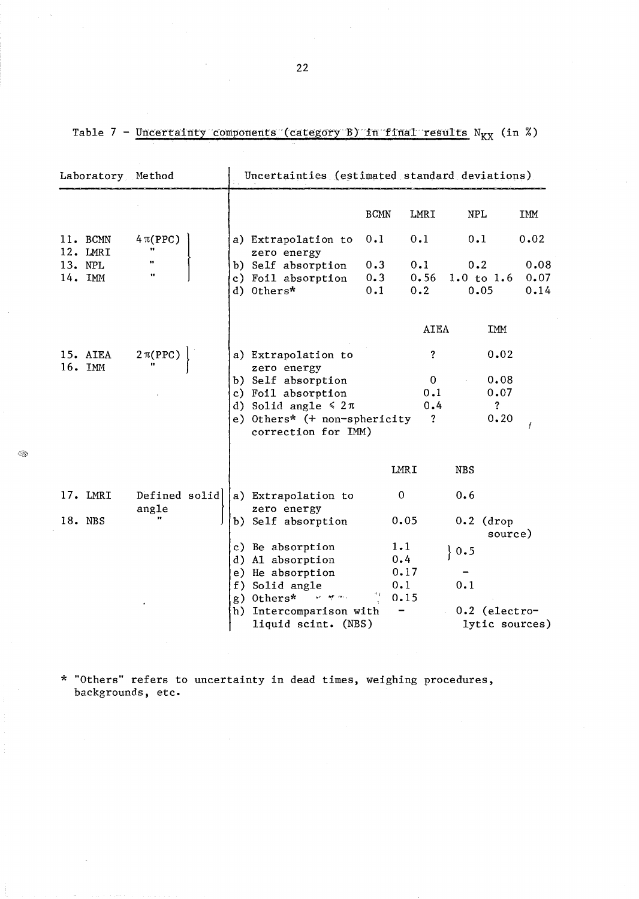|                      |                                |  |                                                        | <b>BCMN</b>       | LMRI               | NPL                         |      | IMM                  |
|----------------------|--------------------------------|--|--------------------------------------------------------|-------------------|--------------------|-----------------------------|------|----------------------|
| 11. BCMN<br>12. LMRI | $4\pi(PPC)$<br>11              |  | a) Extrapolation to<br>zero energy                     | 0.1               | 0.1                | 0.1                         |      | 0.02                 |
| 13. NPL<br>14. IMM   | 11<br>$\pmb{\scriptstyle{11}}$ |  | b) Self absorption<br>c) Foil absorption<br>d) Others* | 0.3<br>0.3<br>0.1 | 0.1<br>0.56<br>0.2 | 0.2<br>1.0 to $1.6$<br>0.05 |      | 0.08<br>0.07<br>0.14 |
|                      |                                |  |                                                        |                   | AIEA               |                             | IMM  |                      |
| 15. AIEA<br>16. IMM  | $2\pi(PPC)$                    |  | a) Extrapolation to<br>zero energy                     |                   | $\overline{\cdot}$ |                             | 0.02 |                      |
|                      |                                |  | b) Self absorption                                     |                   | $\Omega$           |                             | 0.08 |                      |
|                      |                                |  | c) Foil absorption                                     |                   | 0.1                |                             | 0.07 |                      |
|                      |                                |  | d) Solid angle $\leq 2\pi$                             |                   | 0.4                |                             | S.   |                      |
|                      |                                |  | e) Others* (+ non-sphericity<br>correction for IMM)    |                   | $\cdot$            |                             | 0.20 |                      |
|                      |                                |  |                                                        | LMRI              |                    | NBS                         |      |                      |

| Table 7 - Uncertainty components (category B) in final results N <sub>KX</sub> (in %) |  |  |
|---------------------------------------------------------------------------------------|--|--|
|---------------------------------------------------------------------------------------|--|--|

Laboratory Method Uncertainties (estimated standard deviations)

\* "Others" refers to uncertainty in dead times, weighing procedures, backgrounds, etc.

Defined solid $\vert$  a) Extrapolation to

zero energy b) Self absorption o

0.05

0.6

 $\}$  0.5

0.1

0.2 (drop

0.2 (electrolytic sources)

source)

1.1 0.4 0.17  $0.1$ <br> $0.15$ 

 $\,$ 

c) Be absorption d) Al absorption e) He absorption f) Solid angle

g) Others\*  $\mathbb{I}$   $\mathbb{I}$   $\mathbb{I}$   $\mathbb{I}$   $\mathbb{I}$   $\mathbb{I}$   $\mathbb{I}$   $\mathbb{I}$   $\mathbb{I}$   $\mathbb{I}$   $\mathbb{I}$   $\mathbb{I}$   $\mathbb{I}$   $\mathbb{I}$   $\mathbb{I}$   $\mathbb{I}$   $\mathbb{I}$   $\mathbb{I}$   $\mathbb{I}$   $\mathbb{I}$   $\mathbb{I}$   $\mathbb{I}$   $\mathbb{I}$   $\math$ h) lntercomparison with liquid scint. (NBS)

 $<\,>$ 

22

17. LMRl

angle

18. NBS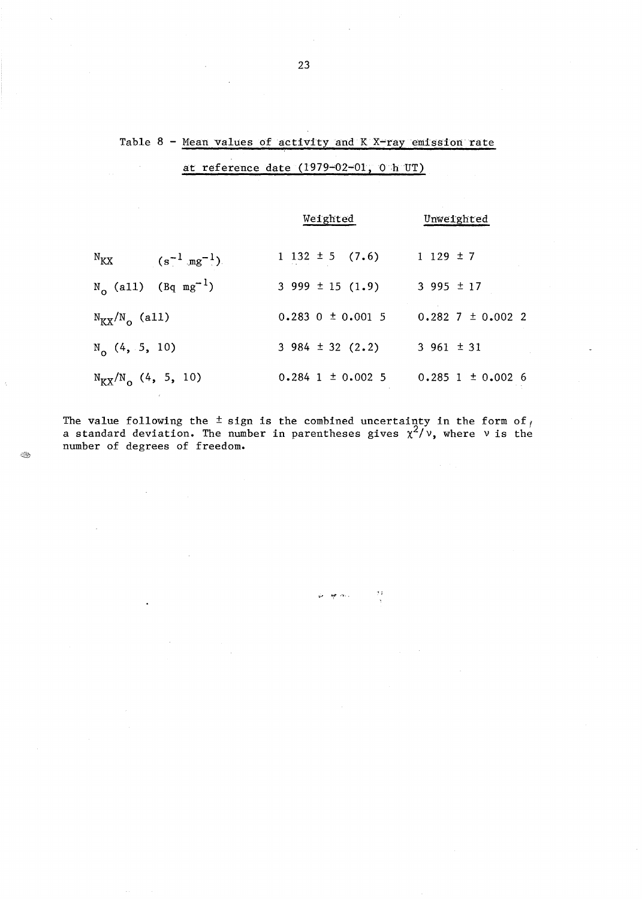# Table  $8$  - Mean values of activity and  $K$  X-ray emission rate at reference date  $(1979-02-01, 0 h UT)$

|                                                   | Weighted                 | Unweighted                                    |  |  |  |
|---------------------------------------------------|--------------------------|-----------------------------------------------|--|--|--|
| $N_{\rm KX}$ (s <sup>-1</sup> mg <sup>-1</sup> ). | $1\;132\; \pm 5\;$ (7.6) | $1129 \pm 7$                                  |  |  |  |
| $N_{0}$ (all) (Bq mg <sup>-1</sup> )              | $3\,999 \pm 15\,(1.9)$   | $3995 \pm 17$                                 |  |  |  |
| $N_{\text{KX}}/N_{\text{o}}$ (all)                | $0.283$ 0 $\pm$ 0.001 5  | $0.282$ 7 $\pm$ 0.002 2                       |  |  |  |
| $N_{0}$ (4, 5, 10)                                | $3\,984 \pm 32\,(2.2)$   | $3\,961 \pm 31$                               |  |  |  |
| $N_{\text{KX}}/N_{\text{o}}$ (4, 5, 10)           |                          | $0.284$ 1 $\pm$ 0.002 5 0.285 1 $\pm$ 0.002 6 |  |  |  |

The value following the  $\pm$  sign is the combined uncertainty in the form of  $_f$ a standard deviation. The number in parentheses gives  $\chi^2/\nu$ , where  $\nu$  is the number of degrees of freedom.

 $\frac{d}{2}$ 

الأنعام فهار أمها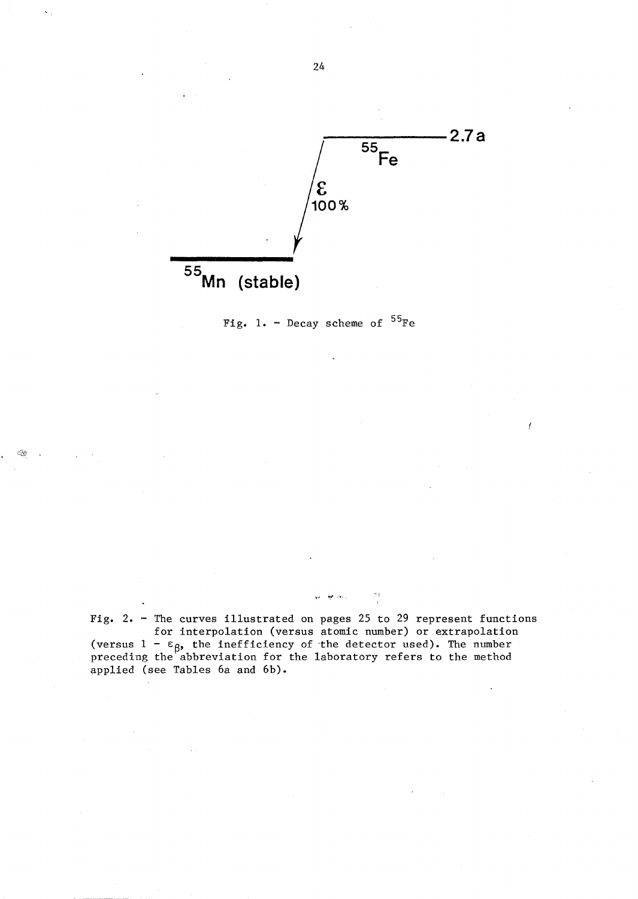



*::Ji£; .* 

Fig. 2. - The curves illustrated on pages 25 to 29 represent functions for interpolation (versus atomic number) or extrapolation (versus  $1 - \varepsilon_{\beta}$ , the inefficiency of the detector used). The number preceding the abbreviation for the laboratory refers to the method applied (see Tables 6a and 6b).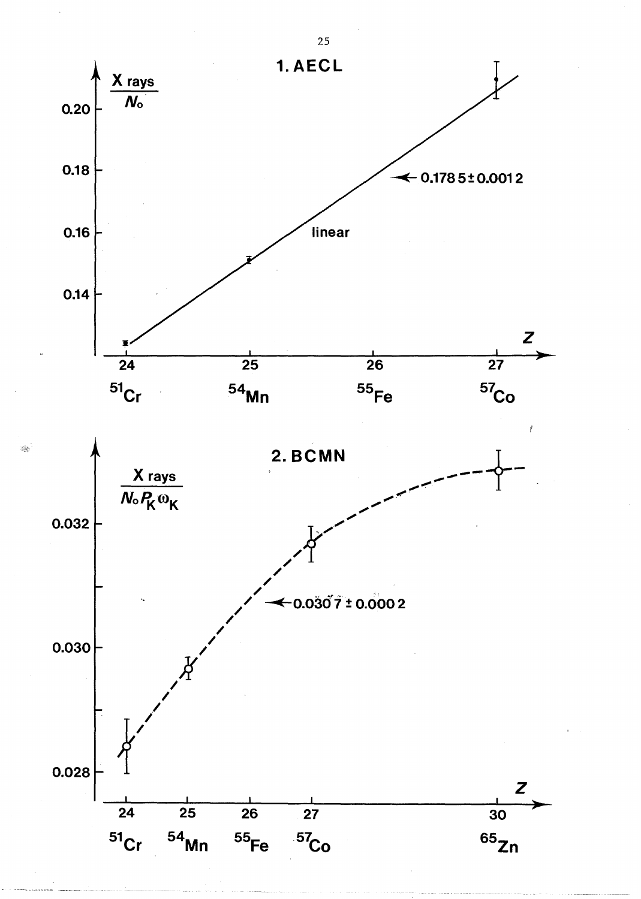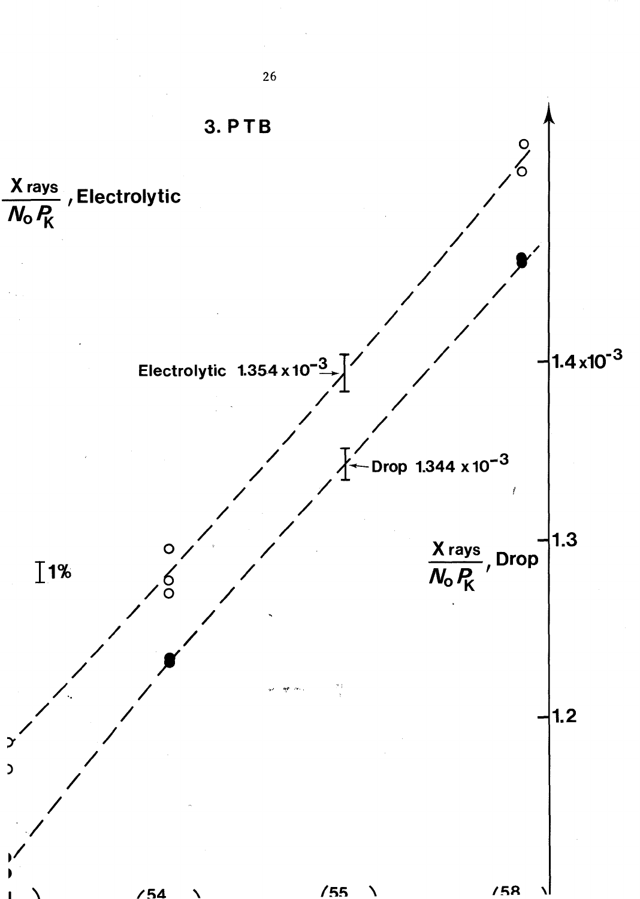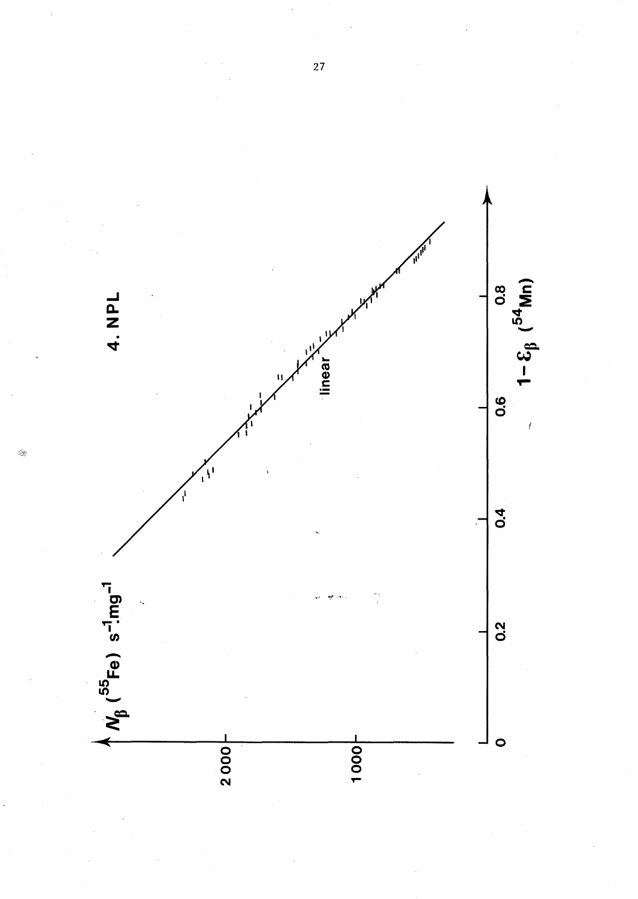

 $\overline{27}$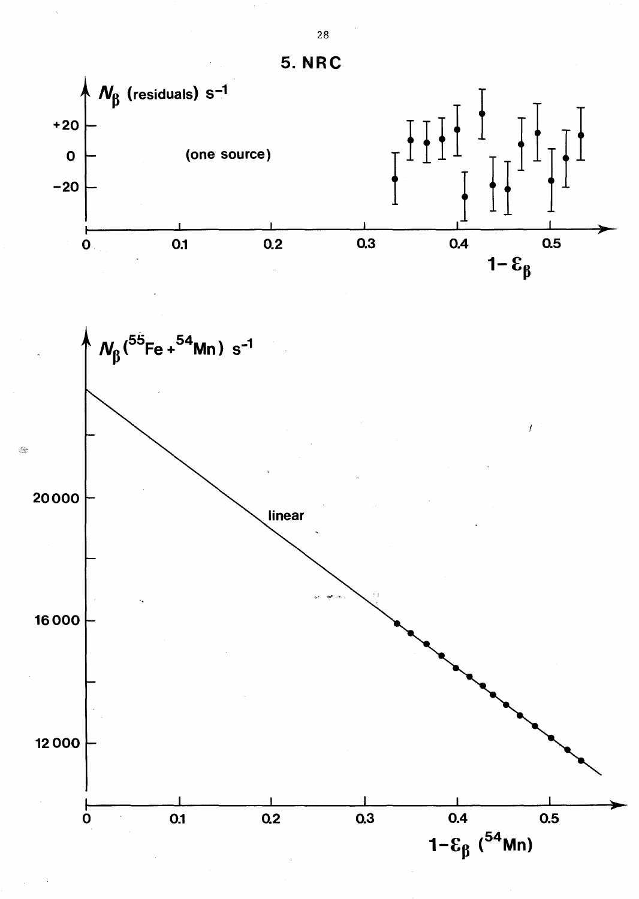



28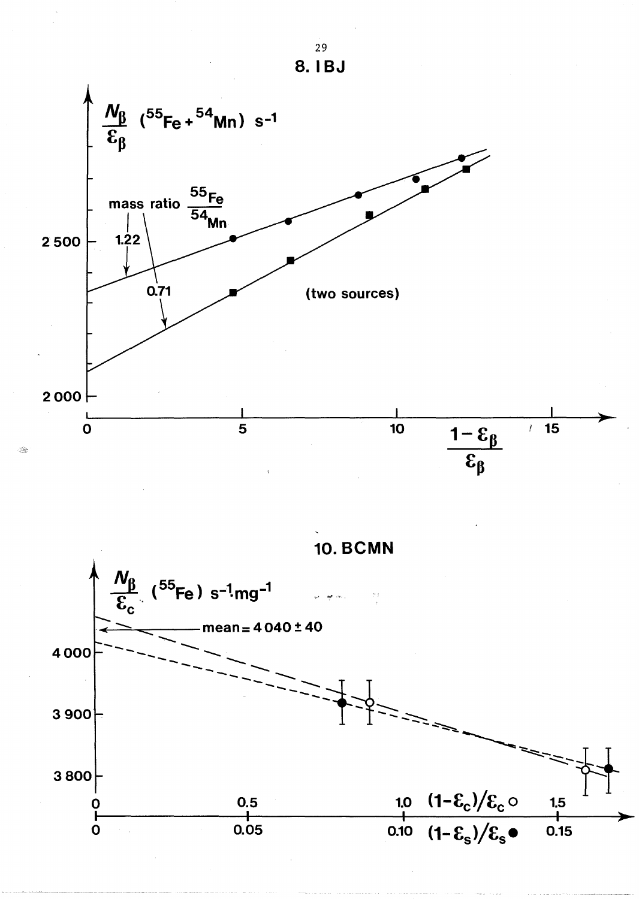

S.



29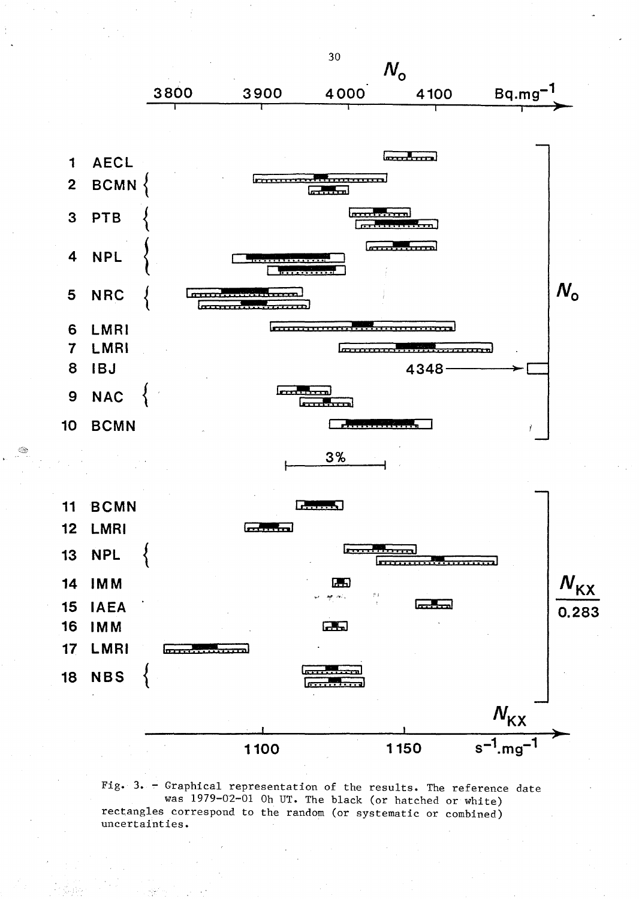

Fig. 3. - Graphical representation of the results. The reference date was 1979-02-01 Oh UT. The black (or hatched or white) rectangles correspond to the random (or systematic or combined) uncertainties.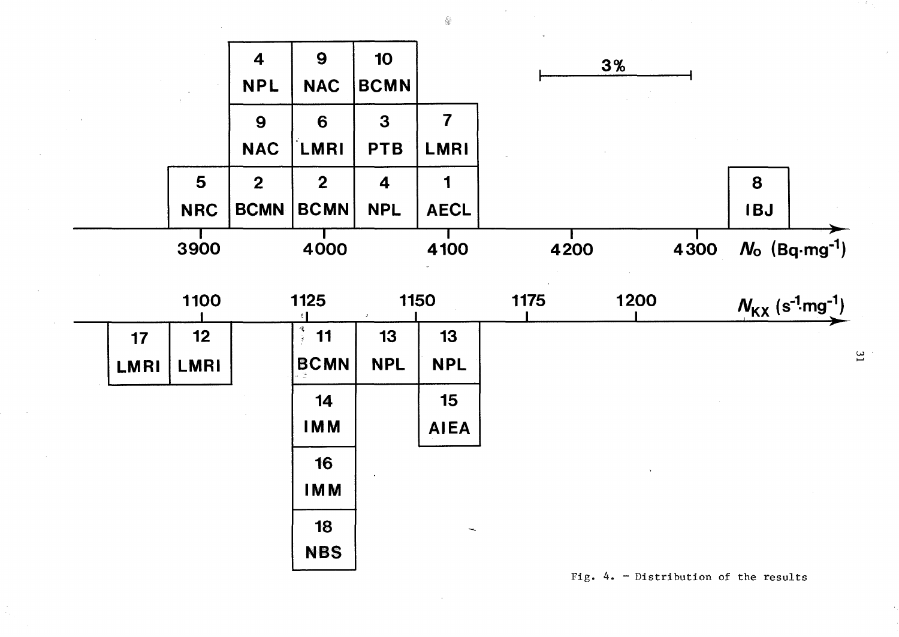

 $\mathbb{Q}$ 

Fig.  $4. -$  Distribution of the results